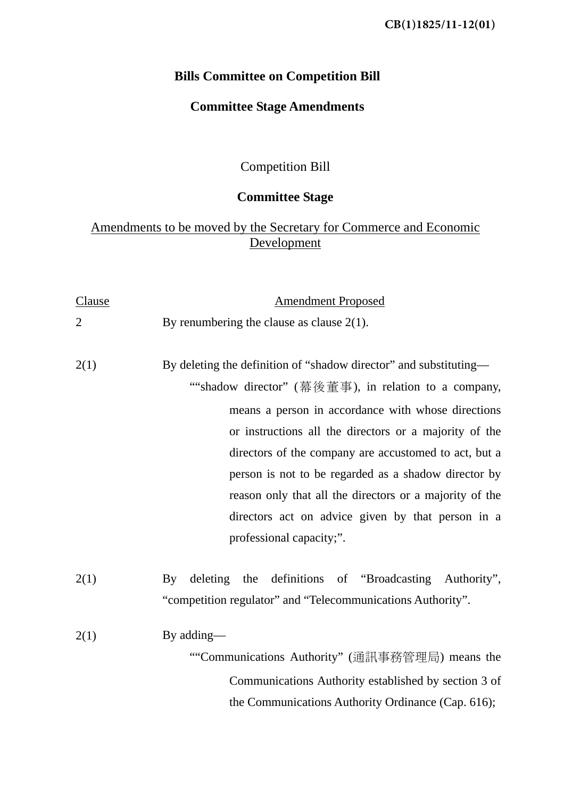# **Bills Committee on Competition Bill**

# **Committee Stage Amendments**

Competition Bill

# **Committee Stage**

# Amendments to be moved by the Secretary for Commerce and Economic **Development**

| Clause         | <b>Amendment Proposed</b>                                                                                                                                                                                                                                                                                                                                                                                                                                                                              |
|----------------|--------------------------------------------------------------------------------------------------------------------------------------------------------------------------------------------------------------------------------------------------------------------------------------------------------------------------------------------------------------------------------------------------------------------------------------------------------------------------------------------------------|
| $\overline{2}$ | By renumbering the clause as clause $2(1)$ .                                                                                                                                                                                                                                                                                                                                                                                                                                                           |
| 2(1)           | By deleting the definition of "shadow director" and substituting—<br>""shadow director" (幕後董事), in relation to a company,<br>means a person in accordance with whose directions<br>or instructions all the directors or a majority of the<br>directors of the company are accustomed to act, but a<br>person is not to be regarded as a shadow director by<br>reason only that all the directors or a majority of the<br>directors act on advice given by that person in a<br>professional capacity;". |
| 2(1)           | deleting the definitions of "Broadcasting Authority",<br>$\rm{By}$<br>"competition regulator" and "Telecommunications Authority".                                                                                                                                                                                                                                                                                                                                                                      |
| 2(1)           | By adding—<br>""Communications Authority" (通訊事務管理局) means the<br>Communications Authority established by section 3 of<br>the Communications Authority Ordinance (Cap. 616);                                                                                                                                                                                                                                                                                                                            |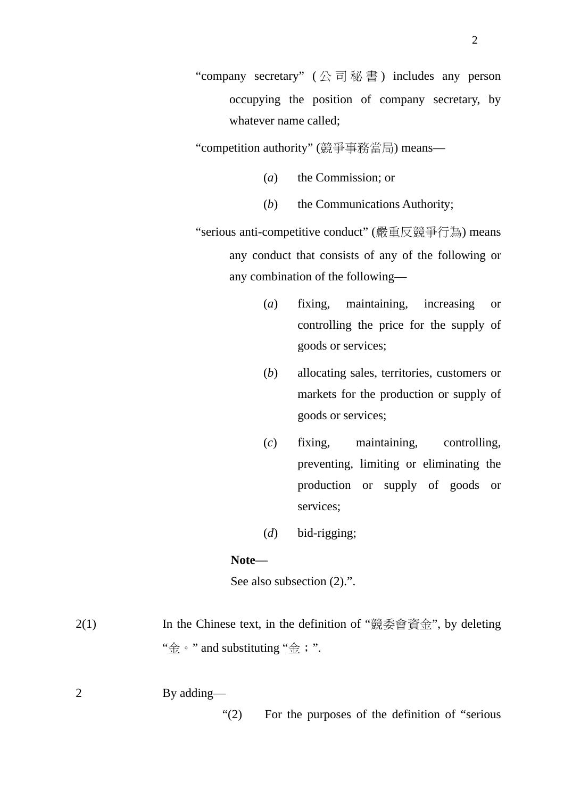"company secretary" (公司秘書) includes any person occupying the position of company secretary, by whatever name called;

"competition authority" (競爭事務當局) means—

- (*a*) the Commission; or
- (*b*) the Communications Authority;

"serious anti-competitive conduct" (嚴重反競爭行為) means any conduct that consists of any of the following or any combination of the following—

- (*a*) fixing, maintaining, increasing or controlling the price for the supply of goods or services;
- (*b*) allocating sales, territories, customers or markets for the production or supply of goods or services;
- (*c*) fixing, maintaining, controlling, preventing, limiting or eliminating the production or supply of goods or services;
- (*d*) bid-rigging;

#### **Note—**

See also subsection  $(2)$ .".

- 2(1) In the Chinese text, in the definition of "競委會資金", by deleting " $\Leftrightarrow$   $\cdot$  " and substituting " $\Leftrightarrow$  ; ".
- 2 By adding—

"(2) For the purposes of the definition of "serious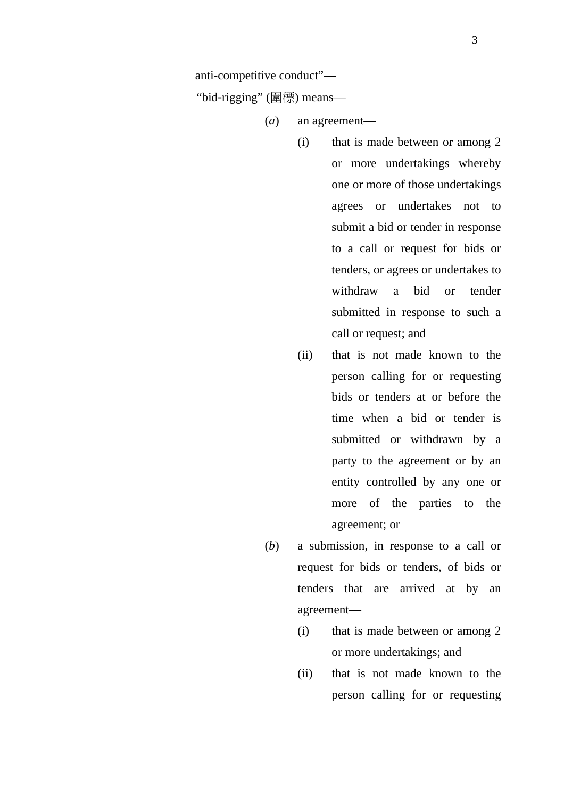anti-competitive conduct"—

"bid-rigging" (圍標) means—

(*a*) an agreement—

- (i) that is made between or among 2 or more undertakings whereby one or more of those undertakings agrees or undertakes not to submit a bid or tender in response to a call or request for bids or tenders, or agrees or undertakes to withdraw a bid or tender submitted in response to such a call or request; and
- (ii) that is not made known to the person calling for or requesting bids or tenders at or before the time when a bid or tender is submitted or withdrawn by a party to the agreement or by an entity controlled by any one or more of the parties to the agreement; or
- (*b*) a submission, in response to a call or request for bids or tenders, of bids or tenders that are arrived at by an agreement—
	- (i) that is made between or among 2 or more undertakings; and
	- (ii) that is not made known to the person calling for or requesting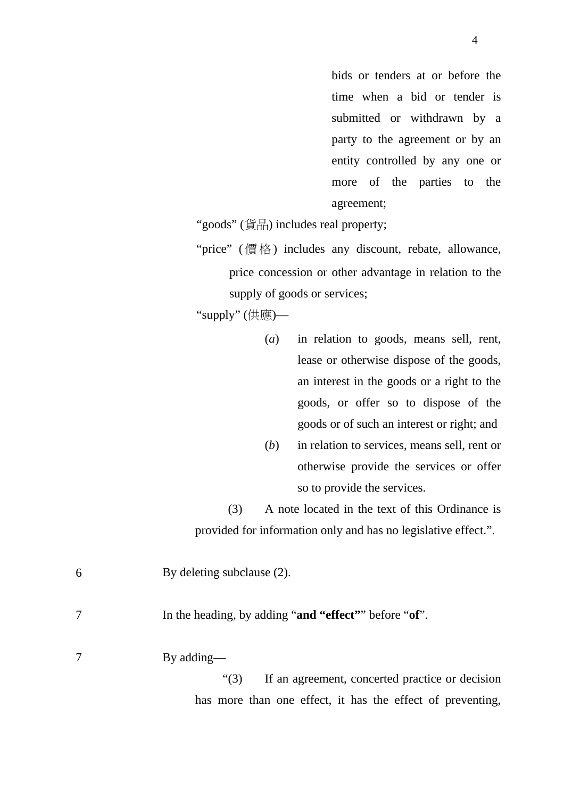bids or tenders at or before the time when a bid or tender is submitted or withdrawn by a party to the agreement or by an entity controlled by any one or more of the parties to the agreement;

"goods" (貨品) includes real property;

"price" (價格) includes any discount, rebate, allowance, price concession or other advantage in relation to the supply of goods or services;

"supply" (供應)—

- (*a*) in relation to goods, means sell, rent, lease or otherwise dispose of the goods, an interest in the goods or a right to the goods, or offer so to dispose of the goods or of such an interest or right; and
- (*b*) in relation to services, means sell, rent or otherwise provide the services or offer so to provide the services.

(3) A note located in the text of this Ordinance is provided for information only and has no legislative effect.".

| 6 | By deleting subclause (2).                                 |
|---|------------------------------------------------------------|
|   | In the heading, by adding "and "effect"" before "of".      |
|   | By adding—                                                 |
|   | If an agreement, concerted practice or decision<br>(3)     |
|   | has more than one effect, it has the effect of preventing, |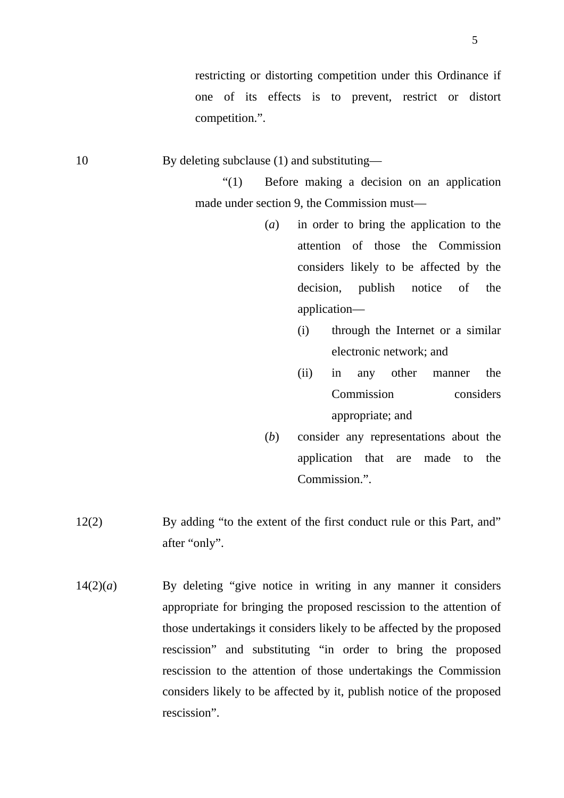restricting or distorting competition under this Ordinance if one of its effects is to prevent, restrict or distort competition.".

10 By deleting subclause (1) and substituting—

"(1) Before making a decision on an application made under section 9, the Commission must—

- (*a*) in order to bring the application to the attention of those the Commission considers likely to be affected by the decision, publish notice of the application—
	- (i) through the Internet or a similar electronic network; and
	- (ii) in any other manner the Commission considers appropriate; and
- (*b*) consider any representations about the application that are made to the Commission.".
- 12(2) By adding "to the extent of the first conduct rule or this Part, and" after "only".
- $14(2)(a)$  By deleting "give notice in writing in any manner it considers appropriate for bringing the proposed rescission to the attention of those undertakings it considers likely to be affected by the proposed rescission" and substituting "in order to bring the proposed rescission to the attention of those undertakings the Commission considers likely to be affected by it, publish notice of the proposed rescission".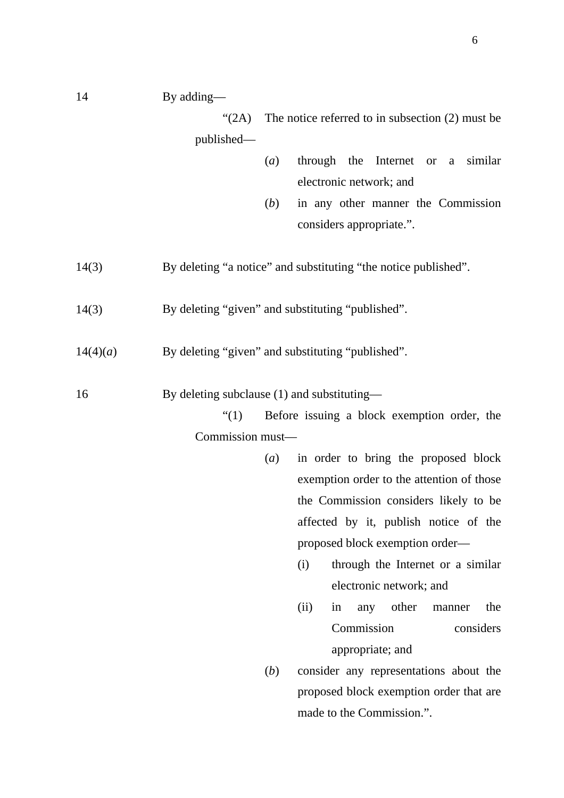14 By adding—

" $(2A)$  The notice referred to in subsection  $(2)$  must be published—

- (*a*) through the Internet or a similar electronic network; and
- (*b*) in any other manner the Commission considers appropriate.".
- 14(3) By deleting "a notice" and substituting "the notice published".
- 14(3) By deleting "given" and substituting "published".
- 14(4)(*a*) By deleting "given" and substituting "published".

16 By deleting subclause (1) and substituting—

"(1) Before issuing a block exemption order, the Commission must—

- (*a*) in order to bring the proposed block exemption order to the attention of those the Commission considers likely to be affected by it, publish notice of the proposed block exemption order—
	- (i) through the Internet or a similar electronic network; and
	- (ii) in any other manner the Commission considers appropriate; and
- (*b*) consider any representations about the proposed block exemption order that are made to the Commission.".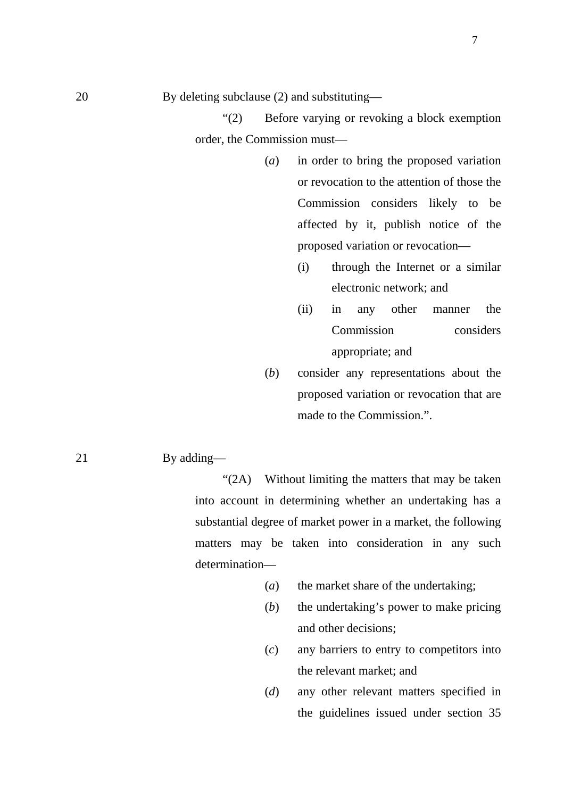"(2) Before varying or revoking a block exemption order, the Commission must—

- (*a*) in order to bring the proposed variation or revocation to the attention of those the Commission considers likely to be affected by it, publish notice of the proposed variation or revocation—
	- (i) through the Internet or a similar electronic network; and
	- (ii) in any other manner the Commission considers appropriate; and
- (*b*) consider any representations about the proposed variation or revocation that are made to the Commission".

#### 21 By adding—

"(2A) Without limiting the matters that may be taken into account in determining whether an undertaking has a substantial degree of market power in a market, the following matters may be taken into consideration in any such determination—

- (*a*) the market share of the undertaking;
- (*b*) the undertaking's power to make pricing and other decisions;
- (*c*) any barriers to entry to competitors into the relevant market; and
- (*d*) any other relevant matters specified in the guidelines issued under section 35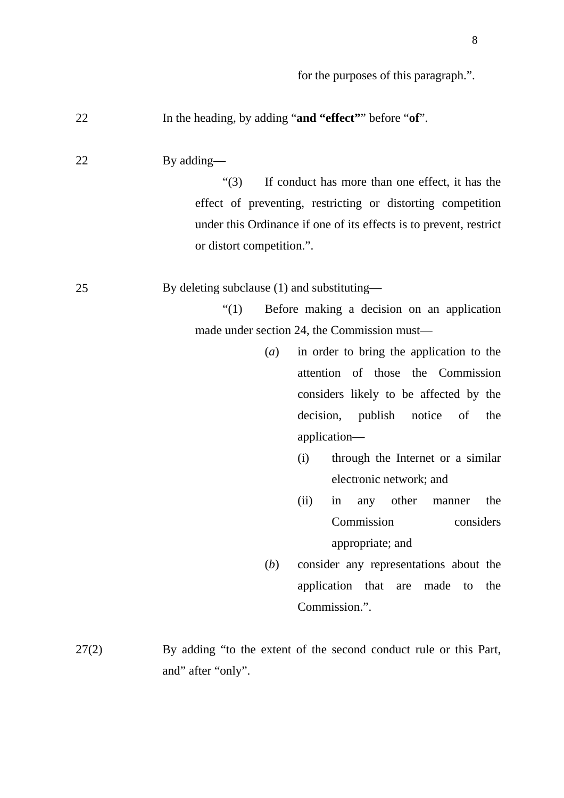| 22    | In the heading, by adding "and "effect" before "of".                                                                                                                                                                                       |
|-------|--------------------------------------------------------------------------------------------------------------------------------------------------------------------------------------------------------------------------------------------|
| 22    | By adding—<br>If conduct has more than one effect, it has the<br>" $(3)$<br>effect of preventing, restricting or distorting competition<br>under this Ordinance if one of its effects is to prevent, restrict<br>or distort competition.". |
| 25    | By deleting subclause (1) and substituting—                                                                                                                                                                                                |
|       | Before making a decision on an application<br>$\lq(1)$                                                                                                                                                                                     |
|       | made under section 24, the Commission must—                                                                                                                                                                                                |
|       | in order to bring the application to the<br>(a)                                                                                                                                                                                            |
|       | attention of those the Commission                                                                                                                                                                                                          |
|       | considers likely to be affected by the                                                                                                                                                                                                     |
|       | decision, publish<br>notice of<br>the                                                                                                                                                                                                      |
|       | application-                                                                                                                                                                                                                               |
|       | through the Internet or a similar<br>(i)                                                                                                                                                                                                   |
|       | electronic network; and                                                                                                                                                                                                                    |
|       | other<br>(ii)<br>the<br>in<br>any<br>manner                                                                                                                                                                                                |
|       | Commission<br>considers                                                                                                                                                                                                                    |
|       | appropriate; and                                                                                                                                                                                                                           |
|       | consider any representations about the<br>(b)                                                                                                                                                                                              |
|       |                                                                                                                                                                                                                                            |
|       | application that are<br>made<br>the<br>to                                                                                                                                                                                                  |
|       | Commission.".                                                                                                                                                                                                                              |
|       |                                                                                                                                                                                                                                            |
| 27(2) | By adding "to the extent of the second conduct rule or this Part,                                                                                                                                                                          |

and" after "only".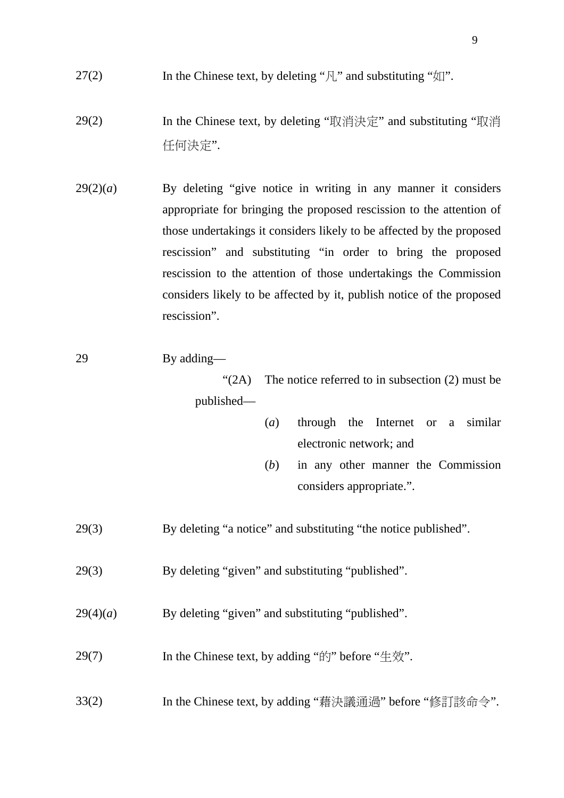- 27(2) In the Chinese text, by deleting " $\mathcal{F}_{\mathbf{u}}$ " and substituting " $\mathcal{F}_{\mathbf{u}}$ ".
- 29(2) In the Chinese text, by deleting "取消決定" and substituting "取消 任何決定".
- $29(2)(a)$  By deleting "give notice in writing in any manner it considers appropriate for bringing the proposed rescission to the attention of those undertakings it considers likely to be affected by the proposed rescission" and substituting "in order to bring the proposed rescission to the attention of those undertakings the Commission considers likely to be affected by it, publish notice of the proposed rescission".
- 29 By adding—

" $(2A)$  The notice referred to in subsection  $(2)$  must be published—

- (*a*) through the Internet or a similar electronic network; and
- (*b*) in any other manner the Commission considers appropriate.".
- 29(3) By deleting "a notice" and substituting "the notice published".
- 29(3) By deleting "given" and substituting "published".
- 29(4)(*a*) By deleting "given" and substituting "published".
- 29(7) In the Chinese text, by adding " $\sharp \uparrow$ " before " $\sharp \circ \sharp$ ".
- 33(2) In the Chinese text, by adding "藉決議通過" before "修訂該命令".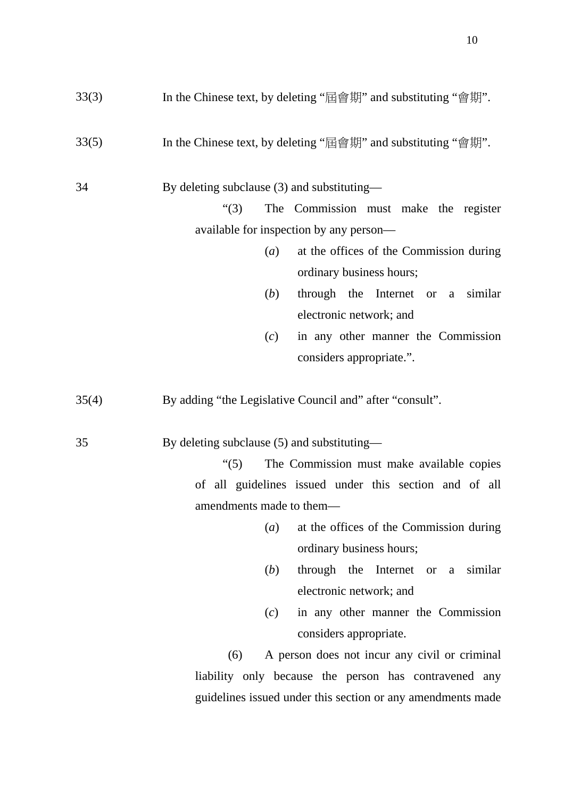| 33(3) | In the Chinese text, by deleting "屆會期" and substituting "會期". |  |
|-------|---------------------------------------------------------------|--|
| 33(5) | In the Chinese text, by deleting "屆會期" and substituting "會期". |  |
| 34    | By deleting subclause (3) and substituting—                   |  |
|       | The Commission must make the register<br>" $(3)$              |  |
|       | available for inspection by any person—                       |  |
|       | at the offices of the Commission during<br>(a)                |  |
|       | ordinary business hours;                                      |  |
|       | (b)<br>through the Internet or a similar                      |  |
|       | electronic network; and                                       |  |
|       | in any other manner the Commission<br>(c)                     |  |
|       | considers appropriate.".                                      |  |
| 35    | By deleting subclause (5) and substituting—                   |  |
|       | The Commission must make available copies<br>$\cdot (5)$      |  |
|       | of all guidelines issued under this section and of all        |  |
|       | amendments made to them—                                      |  |
|       | at the offices of the Commission during<br>(a)                |  |
|       | ordinary business hours;                                      |  |
|       | (b)<br>through the Internet or a similar                      |  |
|       | electronic network; and                                       |  |
|       | in any other manner the Commission<br>(c)                     |  |
|       | considers appropriate.                                        |  |
|       | (6)<br>A person does not incur any civil or criminal          |  |
|       | liability only because the person has contravened any         |  |
|       | guidelines issued under this section or any amendments made   |  |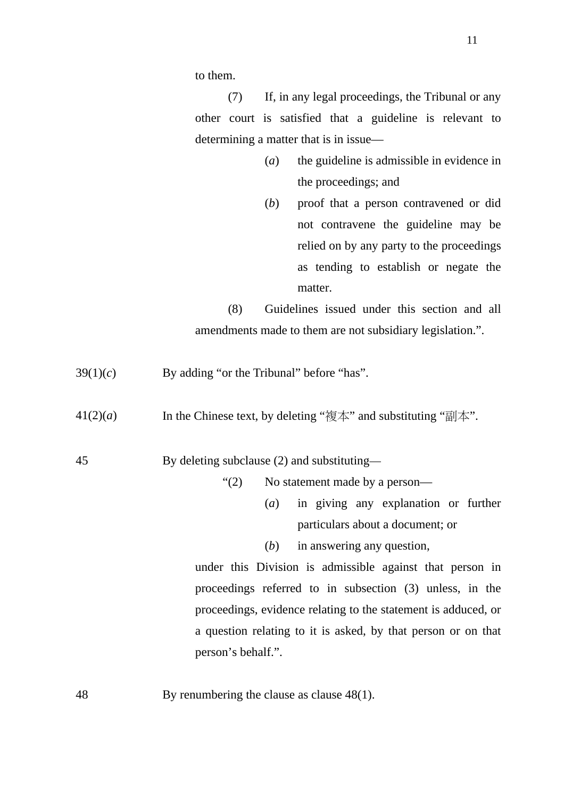to them.

(7) If, in any legal proceedings, the Tribunal or any other court is satisfied that a guideline is relevant to determining a matter that is in issue—

- (*a*) the guideline is admissible in evidence in the proceedings; and
- (*b*) proof that a person contravened or did not contravene the guideline may be relied on by any party to the proceedings as tending to establish or negate the matter.

(8) Guidelines issued under this section and all amendments made to them are not subsidiary legislation.".

- $39(1)(c)$  By adding "or the Tribunal" before "has".
- 41(2)(*a*) In the Chinese text, by deleting "複本" and substituting "副本".

45 By deleting subclause (2) and substituting—

- "(2) No statement made by a person—
	- (*a*) in giving any explanation or further particulars about a document; or
	- (*b*) in answering any question,

under this Division is admissible against that person in proceedings referred to in subsection (3) unless, in the proceedings, evidence relating to the statement is adduced, or a question relating to it is asked, by that person or on that person's behalf.".

48 By renumbering the clause as clause 48(1).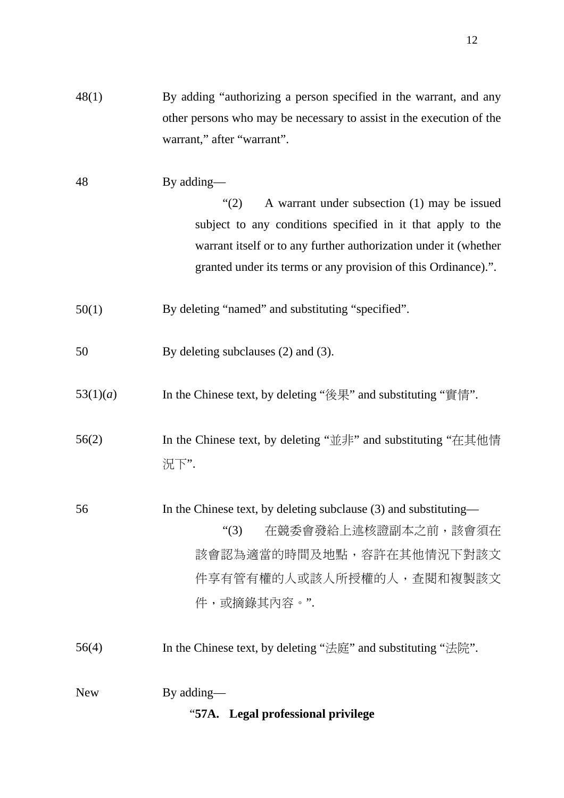| 48(1)      | By adding "authorizing a person specified in the warrant, and any<br>other persons who may be necessary to assist in the execution of the<br>warrant," after "warrant".                                                                                                |
|------------|------------------------------------------------------------------------------------------------------------------------------------------------------------------------------------------------------------------------------------------------------------------------|
| 48         | By adding—<br>A warrant under subsection (1) may be issued<br>(2)<br>subject to any conditions specified in it that apply to the<br>warrant itself or to any further authorization under it (whether<br>granted under its terms or any provision of this Ordinance).". |
| 50(1)      | By deleting "named" and substituting "specified".                                                                                                                                                                                                                      |
| 50         | By deleting subclauses (2) and (3).                                                                                                                                                                                                                                    |
| 53(1)(a)   | In the Chinese text, by deleting "後果" and substituting "實情".                                                                                                                                                                                                           |
| 56(2)      | In the Chinese text, by deleting "並非" and substituting "在其他情<br>況下".                                                                                                                                                                                                   |
| 56         | In the Chinese text, by deleting subclause (3) and substituting—<br>在競委會發給上述核證副本之前,該會須在<br>$\lq(3)$<br>該會認為適當的時間及地點,容許在其他情況下對該文<br>件享有管有權的人或該人所授權的人,查閱和複製該文<br>件,或摘錄其內容。".                                                                                             |
| 56(4)      | In the Chinese text, by deleting "法庭" and substituting "法院".                                                                                                                                                                                                           |
| <b>New</b> | By adding—<br>"57A. Legal professional privilege                                                                                                                                                                                                                       |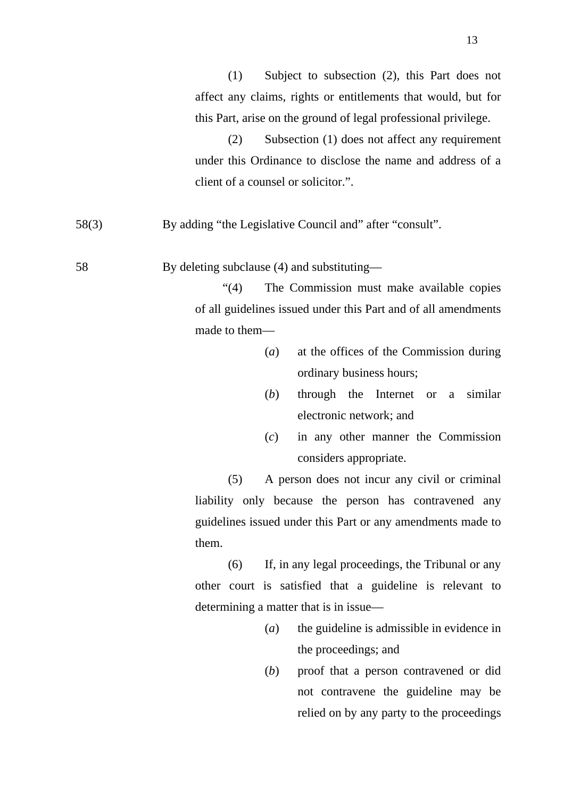(2) Subsection (1) does not affect any requirement under this Ordinance to disclose the name and address of a client of a counsel or solicitor.".

58(3) By adding "the Legislative Council and" after "consult".

58 By deleting subclause (4) and substituting—

"(4) The Commission must make available copies of all guidelines issued under this Part and of all amendments made to them—

- (*a*) at the offices of the Commission during ordinary business hours;
- (*b*) through the Internet or a similar electronic network; and
- (*c*) in any other manner the Commission considers appropriate.

(5) A person does not incur any civil or criminal liability only because the person has contravened any guidelines issued under this Part or any amendments made to them.

(6) If, in any legal proceedings, the Tribunal or any other court is satisfied that a guideline is relevant to determining a matter that is in issue—

- (*a*) the guideline is admissible in evidence in the proceedings; and
- (*b*) proof that a person contravened or did not contravene the guideline may be relied on by any party to the proceedings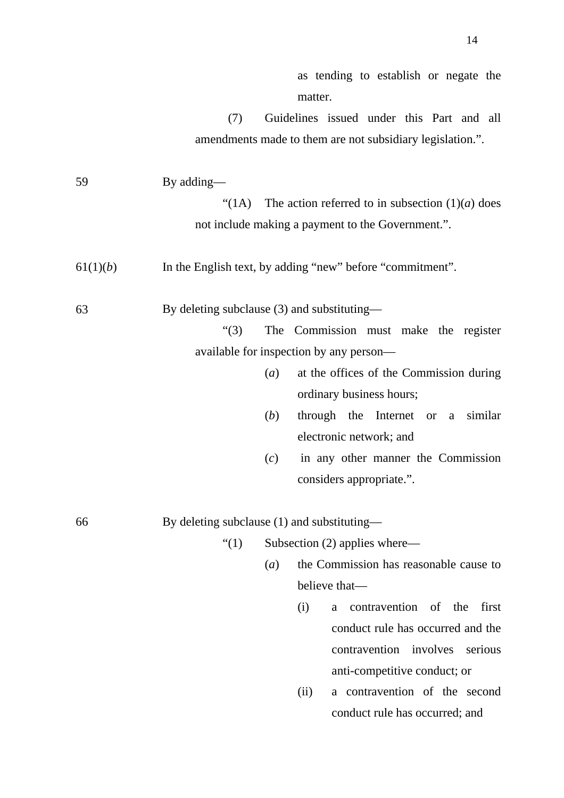|          |                                             |                  | as tending to establish or negate the                     |
|----------|---------------------------------------------|------------------|-----------------------------------------------------------|
|          |                                             |                  | matter.                                                   |
|          | (7)                                         |                  | Guidelines issued under this Part and all                 |
|          |                                             |                  | amendments made to them are not subsidiary legislation.". |
|          |                                             |                  |                                                           |
| 59       | By adding—                                  |                  |                                                           |
|          | (1A)                                        |                  | The action referred to in subsection $(1)(a)$ does        |
|          |                                             |                  | not include making a payment to the Government.".         |
| 61(1)(b) |                                             |                  | In the English text, by adding "new" before "commitment". |
| 63       | By deleting subclause (3) and substituting— |                  |                                                           |
|          | $\lq(3)$                                    |                  | The Commission must make the register                     |
|          |                                             |                  | available for inspection by any person—                   |
|          |                                             | (a)              | at the offices of the Commission during                   |
|          |                                             |                  | ordinary business hours;                                  |
|          |                                             | (b)              | through the Internet or a similar                         |
|          |                                             |                  | electronic network; and                                   |
|          |                                             | (c)              | in any other manner the Commission                        |
|          |                                             |                  | considers appropriate.".                                  |
| 66       | By deleting subclause (1) and substituting— |                  |                                                           |
|          | ``(1)                                       |                  | Subsection $(2)$ applies where—                           |
|          |                                             | $\left(a\right)$ | the Commission has reasonable cause to                    |
|          |                                             |                  | believe that-                                             |
|          |                                             |                  | contravention of the<br>first<br>(i)<br>a                 |
|          |                                             |                  | conduct rule has occurred and the                         |
|          |                                             |                  | involves<br>contravention<br>serious                      |
|          |                                             |                  | anti-competitive conduct; or                              |
|          |                                             |                  | a contravention of the second<br>(ii)                     |
|          |                                             |                  | conduct rule has occurred; and                            |
|          |                                             |                  |                                                           |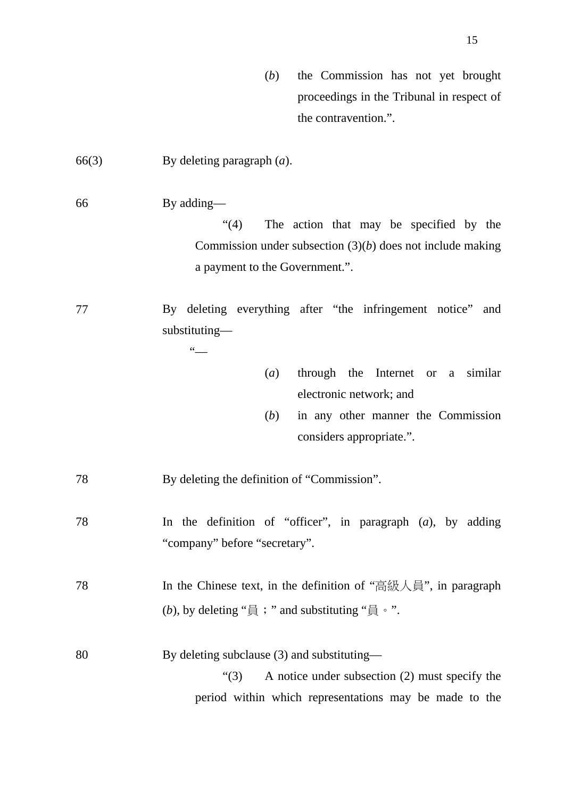- (*b*) the Commission has not yet brought proceedings in the Tribunal in respect of the contravention.".
- 66(3) By deleting paragraph (*a*).
- 66 By adding—

"(4) The action that may be specified by the Commission under subsection (3)(*b*) does not include making a payment to the Government.".

- 77 By deleting everything after "the infringement notice" and substituting—  $\frac{1}{\sqrt{1-\frac{1}{2}}}$ 
	- (*a*) through the Internet or a similar electronic network; and
	- (*b*) in any other manner the Commission considers appropriate.".
- 78 By deleting the definition of "Commission".
- 78 In the definition of "officer", in paragraph (*a*), by adding "company" before "secretary".
- 78 In the Chinese text, in the definition of "高級人員", in paragraph (*b*), by deleting "員; " and substituting "員。".
- 80 By deleting subclause (3) and substituting—

"(3) A notice under subsection (2) must specify the period within which representations may be made to the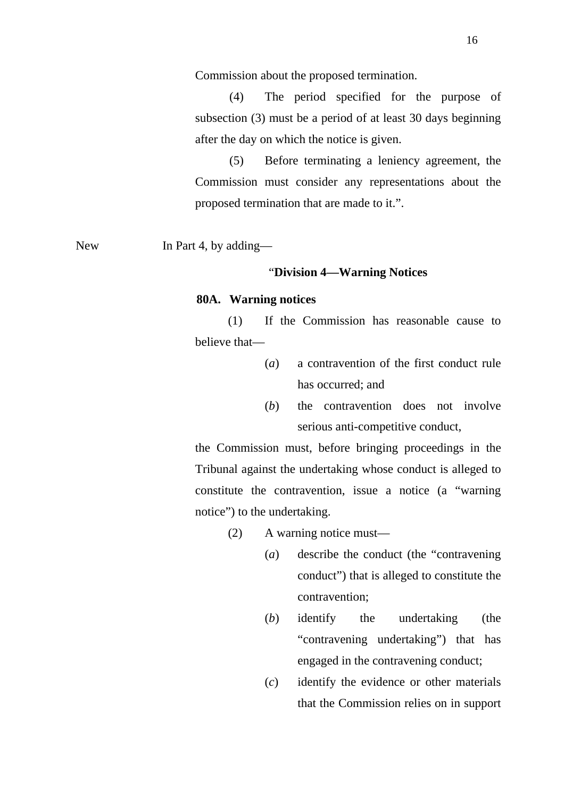Commission about the proposed termination.

(4) The period specified for the purpose of subsection (3) must be a period of at least 30 days beginning after the day on which the notice is given.

(5) Before terminating a leniency agreement, the Commission must consider any representations about the proposed termination that are made to it.".

New In Part 4, by adding—

#### "**Division 4—Warning Notices**

#### **80A. Warning notices**

(1) If the Commission has reasonable cause to believe that—

- (*a*) a contravention of the first conduct rule has occurred; and
- (*b*) the contravention does not involve serious anti-competitive conduct,

the Commission must, before bringing proceedings in the Tribunal against the undertaking whose conduct is alleged to constitute the contravention, issue a notice (a "warning notice") to the undertaking.

- (2) A warning notice must—
	- (*a*) describe the conduct (the "contravening conduct") that is alleged to constitute the contravention;
	- (*b*) identify the undertaking (the "contravening undertaking") that has engaged in the contravening conduct;
	- (*c*) identify the evidence or other materials that the Commission relies on in support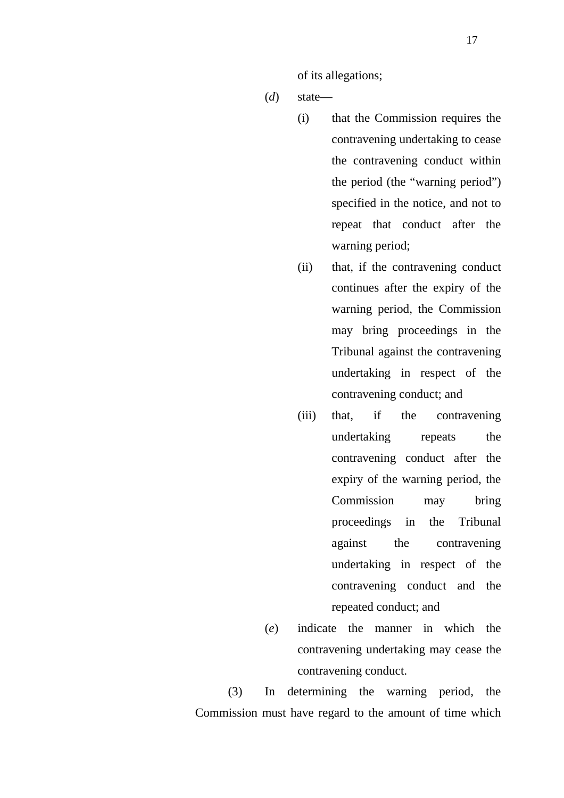of its allegations;

- (*d*) state—
	- (i) that the Commission requires the contravening undertaking to cease the contravening conduct within the period (the "warning period") specified in the notice, and not to repeat that conduct after the warning period;
	- (ii) that, if the contravening conduct continues after the expiry of the warning period, the Commission may bring proceedings in the Tribunal against the contravening undertaking in respect of the contravening conduct; and
	- (iii) that, if the contravening undertaking repeats the contravening conduct after the expiry of the warning period, the Commission may bring proceedings in the Tribunal against the contravening undertaking in respect of the contravening conduct and the repeated conduct; and
- (*e*) indicate the manner in which the contravening undertaking may cease the contravening conduct.

(3) In determining the warning period, the Commission must have regard to the amount of time which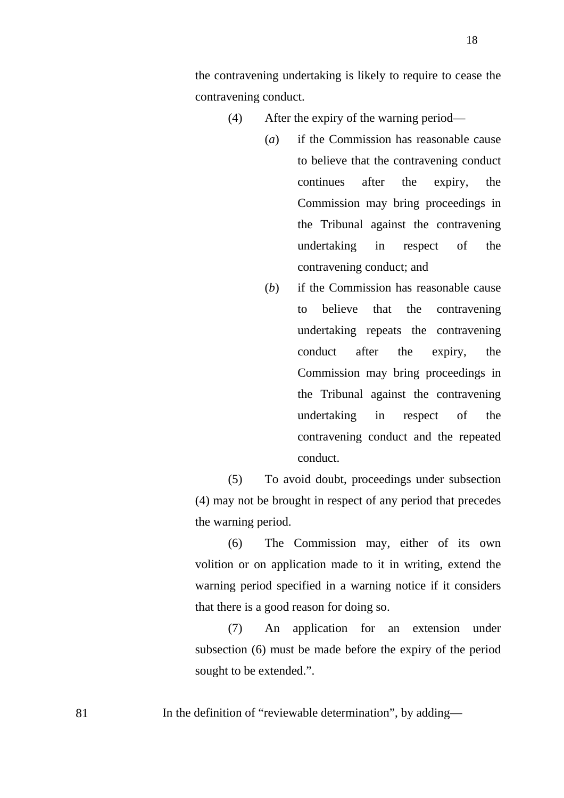the contravening undertaking is likely to require to cease the contravening conduct.

- (4) After the expiry of the warning period—
	- (*a*) if the Commission has reasonable cause to believe that the contravening conduct continues after the expiry, the Commission may bring proceedings in the Tribunal against the contravening undertaking in respect of the contravening conduct; and
	- (*b*) if the Commission has reasonable cause to believe that the contravening undertaking repeats the contravening conduct after the expiry, the Commission may bring proceedings in the Tribunal against the contravening undertaking in respect of the contravening conduct and the repeated conduct.

(5) To avoid doubt, proceedings under subsection (4) may not be brought in respect of any period that precedes the warning period.

(6) The Commission may, either of its own volition or on application made to it in writing, extend the warning period specified in a warning notice if it considers that there is a good reason for doing so.

(7) An application for an extension under subsection (6) must be made before the expiry of the period sought to be extended.".

81 In the definition of "reviewable determination", by adding—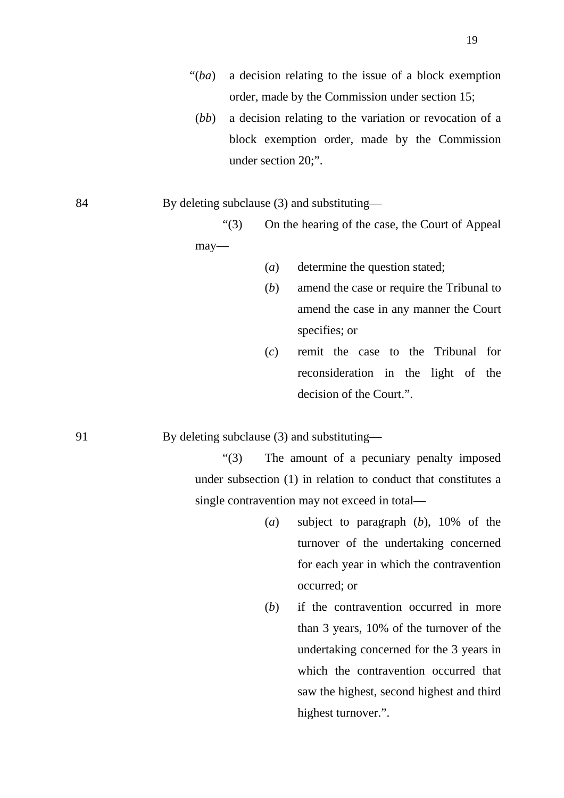- "(*ba*) a decision relating to the issue of a block exemption order, made by the Commission under section 15;
- (*bb*) a decision relating to the variation or revocation of a block exemption order, made by the Commission under section 20;".

84 By deleting subclause (3) and substituting—

"(3) On the hearing of the case, the Court of Appeal may—

- (*a*) determine the question stated;
- (*b*) amend the case or require the Tribunal to amend the case in any manner the Court specifies; or
- (*c*) remit the case to the Tribunal for reconsideration in the light of the decision of the Court.".

91 By deleting subclause (3) and substituting—

"(3) The amount of a pecuniary penalty imposed under subsection (1) in relation to conduct that constitutes a single contravention may not exceed in total—

- (*a*) subject to paragraph (*b*), 10% of the turnover of the undertaking concerned for each year in which the contravention occurred; or
- (*b*) if the contravention occurred in more than 3 years, 10% of the turnover of the undertaking concerned for the 3 years in which the contravention occurred that saw the highest, second highest and third highest turnover.".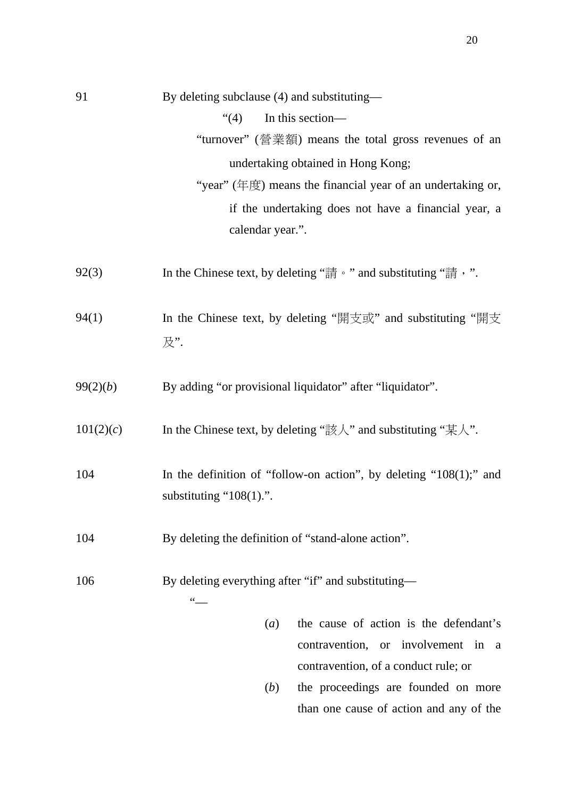| 91        | By deleting subclause (4) and substituting—                                                                 |
|-----------|-------------------------------------------------------------------------------------------------------------|
|           | (4)<br>In this section-                                                                                     |
|           | "turnover" (營業額) means the total gross revenues of an                                                       |
|           | undertaking obtained in Hong Kong;                                                                          |
|           | "year" (年度) means the financial year of an undertaking or,                                                  |
|           | if the undertaking does not have a financial year, a                                                        |
|           | calendar year.".                                                                                            |
|           |                                                                                                             |
| 92(3)     | In the Chinese text, by deleting "請。" and substituting "請, ".                                               |
|           |                                                                                                             |
| 94(1)     | In the Chinese text, by deleting "開支或" and substituting "開支                                                 |
|           | 及".                                                                                                         |
|           |                                                                                                             |
| 99(2)(b)  | By adding "or provisional liquidator" after "liquidator".                                                   |
|           |                                                                                                             |
| 101(2)(c) | In the Chinese text, by deleting " $\sharp \sharp \mathcal{N}$ " and substituting " $\sharp \mathcal{N}$ ". |
|           |                                                                                                             |
| 104       | In the definition of "follow-on action", by deleting " $108(1)$ ;" and                                      |
|           | substituting " $108(1)$ .".                                                                                 |
|           |                                                                                                             |
| 104       | By deleting the definition of "stand-alone action".                                                         |
| 106       |                                                                                                             |
|           | By deleting everything after "if" and substituting—<br>$66 -$                                               |
|           | the cause of action is the defendant's<br>(a)                                                               |
|           | contravention, or<br>involvement<br>in<br>a                                                                 |
|           | contravention, of a conduct rule; or                                                                        |
|           |                                                                                                             |

(*b*) the proceedings are founded on more than one cause of action and any of the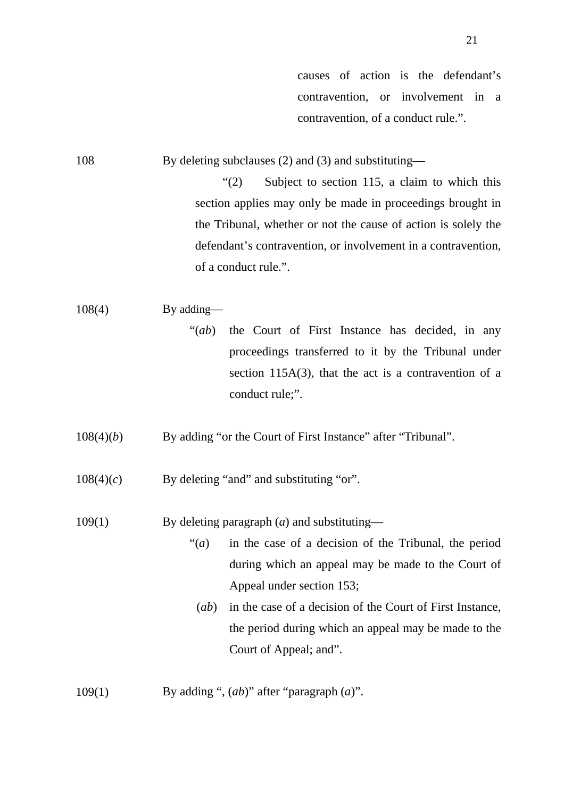causes of action is the defendant's contravention, or involvement in a contravention, of a conduct rule.".

108 By deleting subclauses (2) and (3) and substituting—

"(2) Subject to section 115, a claim to which this section applies may only be made in proceedings brought in the Tribunal, whether or not the cause of action is solely the defendant's contravention, or involvement in a contravention, of a conduct rule.".

## $108(4)$  By adding—

"(*ab*) the Court of First Instance has decided, in any proceedings transferred to it by the Tribunal under section 115A(3), that the act is a contravention of a conduct rule;".

108(4)(*b*) By adding "or the Court of First Instance" after "Tribunal".

 $108(4)(c)$  By deleting "and" and substituting "or".

109(1) By deleting paragraph (*a*) and substituting—

"(*a*) in the case of a decision of the Tribunal, the period during which an appeal may be made to the Court of Appeal under section 153;

(*ab*) in the case of a decision of the Court of First Instance, the period during which an appeal may be made to the Court of Appeal; and".

109(1) By adding ", (*ab*)" after "paragraph (*a*)".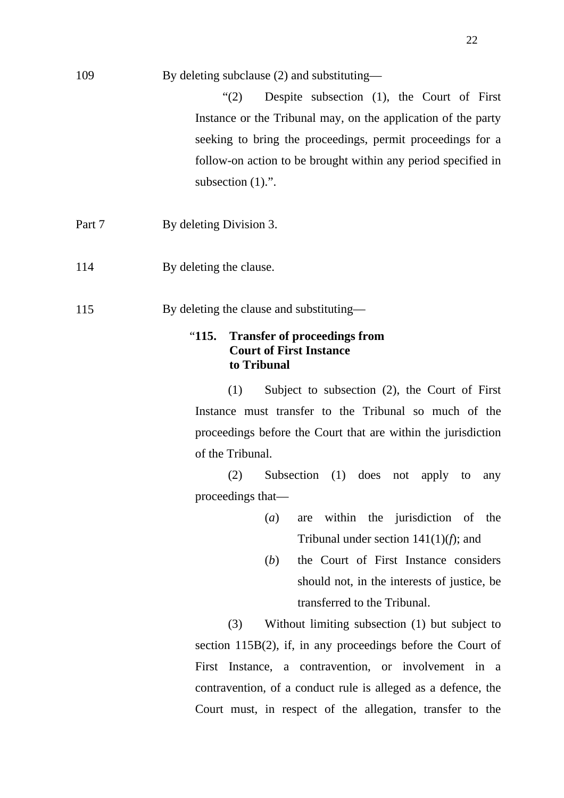| 109    | By deleting subclause (2) and substituting—                                                   |
|--------|-----------------------------------------------------------------------------------------------|
|        | Despite subsection (1), the Court of First<br>$\lq(2)$                                        |
|        | Instance or the Tribunal may, on the application of the party                                 |
|        | seeking to bring the proceedings, permit proceedings for a                                    |
|        | follow-on action to be brought within any period specified in                                 |
|        | subsection $(1)$ .".                                                                          |
|        |                                                                                               |
| Part 7 | By deleting Division 3.                                                                       |
| 114    | By deleting the clause.                                                                       |
| 115    | By deleting the clause and substituting—                                                      |
|        | "115.<br><b>Transfer of proceedings from</b><br><b>Court of First Instance</b><br>to Tribunal |
|        | Subject to subsection $(2)$ , the Court of First<br>(1)                                       |
|        | Instance must transfer to the Tribunal so much of the                                         |
|        | proceedings before the Court that are within the jurisdiction                                 |
|        | of the Tribunal.                                                                              |
|        | (2)<br>Subsection $(1)$ does<br>not apply<br>to<br>any                                        |
|        | proceedings that-                                                                             |
|        | within the jurisdiction of the<br>(a)<br>are                                                  |
|        | Tribunal under section $141(1)(f)$ ; and                                                      |
|        | the Court of First Instance considers<br>( <i>b</i> )                                         |
|        | should not, in the interests of justice, be                                                   |
|        | transferred to the Tribunal.                                                                  |
|        | (3)<br>Without limiting subsection (1) but subject to                                         |
|        | section $115B(2)$ , if, in any proceedings before the Court of                                |
|        | First Instance, a contravention, or involvement in a                                          |
|        | contravention, of a conduct rule is alleged as a defence, the                                 |
|        | Court must, in respect of the allegation, transfer to the                                     |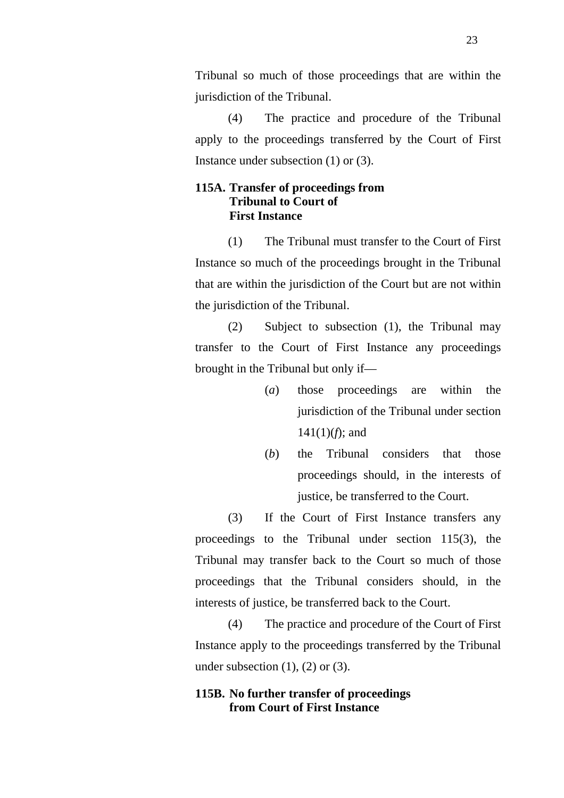Tribunal so much of those proceedings that are within the jurisdiction of the Tribunal.

(4) The practice and procedure of the Tribunal apply to the proceedings transferred by the Court of First Instance under subsection (1) or (3).

## **115A. Transfer of proceedings from Tribunal to Court of First Instance**

(1) The Tribunal must transfer to the Court of First Instance so much of the proceedings brought in the Tribunal that are within the jurisdiction of the Court but are not within the jurisdiction of the Tribunal.

(2) Subject to subsection (1), the Tribunal may transfer to the Court of First Instance any proceedings brought in the Tribunal but only if—

- (*a*) those proceedings are within the jurisdiction of the Tribunal under section 141(1)(*f*); and
- (*b*) the Tribunal considers that those proceedings should, in the interests of justice, be transferred to the Court.

(3) If the Court of First Instance transfers any proceedings to the Tribunal under section 115(3), the Tribunal may transfer back to the Court so much of those proceedings that the Tribunal considers should, in the interests of justice, be transferred back to the Court.

(4) The practice and procedure of the Court of First Instance apply to the proceedings transferred by the Tribunal under subsection  $(1)$ ,  $(2)$  or  $(3)$ .

## **115B. No further transfer of proceedings from Court of First Instance**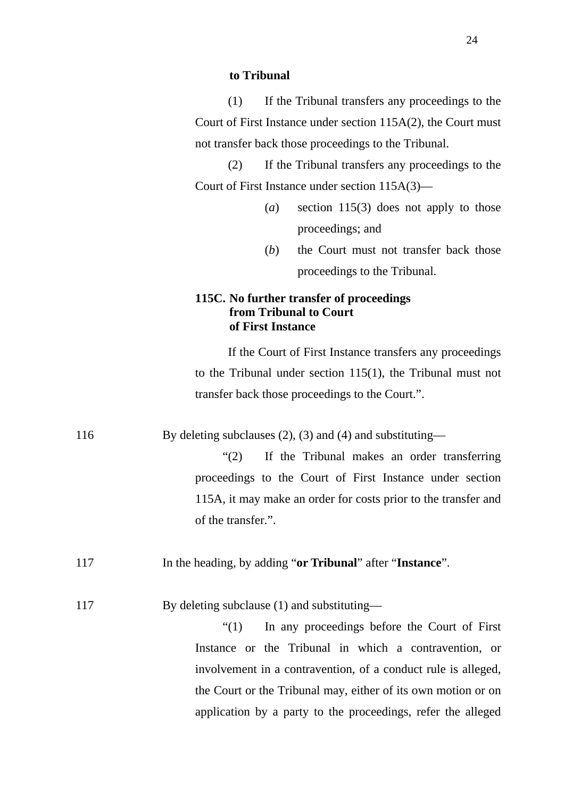#### **to Tribunal**

(1) If the Tribunal transfers any proceedings to the Court of First Instance under section 115A(2), the Court must not transfer back those proceedings to the Tribunal.

(2) If the Tribunal transfers any proceedings to the Court of First Instance under section 115A(3)—

- (*a*) section 115(3) does not apply to those proceedings; and
- (*b*) the Court must not transfer back those proceedings to the Tribunal.

## **115C. No further transfer of proceedings from Tribunal to Court of First Instance**

If the Court of First Instance transfers any proceedings to the Tribunal under section 115(1), the Tribunal must not transfer back those proceedings to the Court.".

116 By deleting subclauses (2), (3) and (4) and substituting—

"(2) If the Tribunal makes an order transferring proceedings to the Court of First Instance under section 115A, it may make an order for costs prior to the transfer and of the transfer.".

- 117 In the heading, by adding "**or Tribunal**" after "**Instance**".
- 117 By deleting subclause (1) and substituting—

"(1) In any proceedings before the Court of First Instance or the Tribunal in which a contravention, or involvement in a contravention, of a conduct rule is alleged, the Court or the Tribunal may, either of its own motion or on application by a party to the proceedings, refer the alleged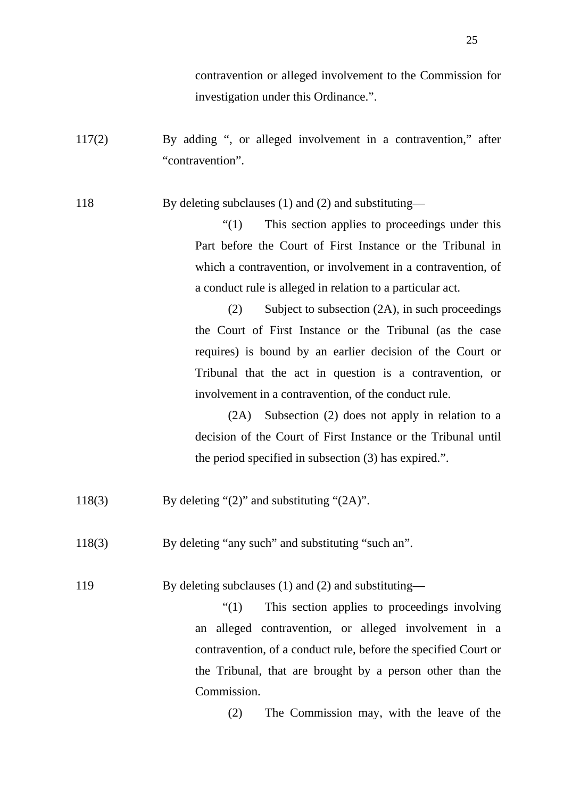contravention or alleged involvement to the Commission for investigation under this Ordinance.".

117(2) By adding ", or alleged involvement in a contravention," after "contravention".

118 By deleting subclauses (1) and (2) and substituting—

"(1) This section applies to proceedings under this Part before the Court of First Instance or the Tribunal in which a contravention, or involvement in a contravention, of a conduct rule is alleged in relation to a particular act.

(2) Subject to subsection (2A), in such proceedings the Court of First Instance or the Tribunal (as the case requires) is bound by an earlier decision of the Court or Tribunal that the act in question is a contravention, or involvement in a contravention, of the conduct rule.

(2A) Subsection (2) does not apply in relation to a decision of the Court of First Instance or the Tribunal until the period specified in subsection (3) has expired.".

- 118(3) By deleting "(2)" and substituting "(2A)".
- 118(3) By deleting "any such" and substituting "such an".

119 By deleting subclauses (1) and (2) and substituting—

"(1) This section applies to proceedings involving an alleged contravention, or alleged involvement in a contravention, of a conduct rule, before the specified Court or the Tribunal, that are brought by a person other than the Commission.

(2) The Commission may, with the leave of the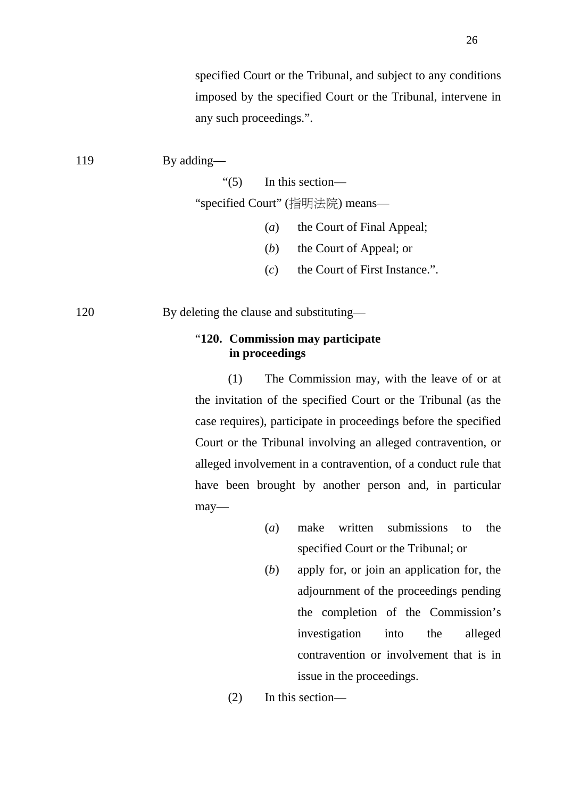specified Court or the Tribunal, and subject to any conditions imposed by the specified Court or the Tribunal, intervene in any such proceedings.".

- 119 By adding— "(5) In this section— "specified Court" (指明法院) means—
	- (*a*) the Court of Final Appeal;
	- (*b*) the Court of Appeal; or
	- (*c*) the Court of First Instance.".

120 By deleting the clause and substituting—

## "**120. Commission may participate in proceedings**

(1) The Commission may, with the leave of or at the invitation of the specified Court or the Tribunal (as the case requires), participate in proceedings before the specified Court or the Tribunal involving an alleged contravention, or alleged involvement in a contravention, of a conduct rule that have been brought by another person and, in particular may—

- (*a*) make written submissions to the specified Court or the Tribunal; or
- (*b*) apply for, or join an application for, the adjournment of the proceedings pending the completion of the Commission's investigation into the alleged contravention or involvement that is in issue in the proceedings.
- (2) In this section—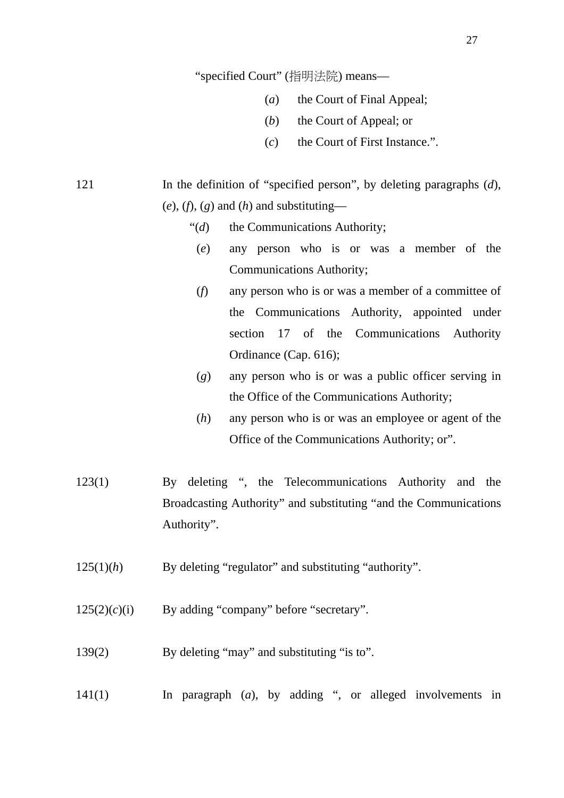"specified Court" (指明法院) means—

- (*a*) the Court of Final Appeal;
- (*b*) the Court of Appeal; or
- (*c*) the Court of First Instance.".

121 In the definition of "specified person", by deleting paragraphs (*d*),  $(e)$ ,  $(f)$ ,  $(g)$  and  $(h)$  and substituting—

- "(*d*) the Communications Authority;
	- (*e*) any person who is or was a member of the Communications Authority;
	- (*f*) any person who is or was a member of a committee of the Communications Authority, appointed under section 17 of the Communications Authority Ordinance (Cap. 616);
	- (*g*) any person who is or was a public officer serving in the Office of the Communications Authority;
	- (*h*) any person who is or was an employee or agent of the Office of the Communications Authority; or".
- 123(1) By deleting ", the Telecommunications Authority and the Broadcasting Authority" and substituting "and the Communications Authority".
- 125(1)(*h*) By deleting "regulator" and substituting "authority".

 $125(2)(c)(i)$  By adding "company" before "secretary".

139(2) By deleting "may" and substituting "is to".

141(1) In paragraph (*a*), by adding ", or alleged involvements in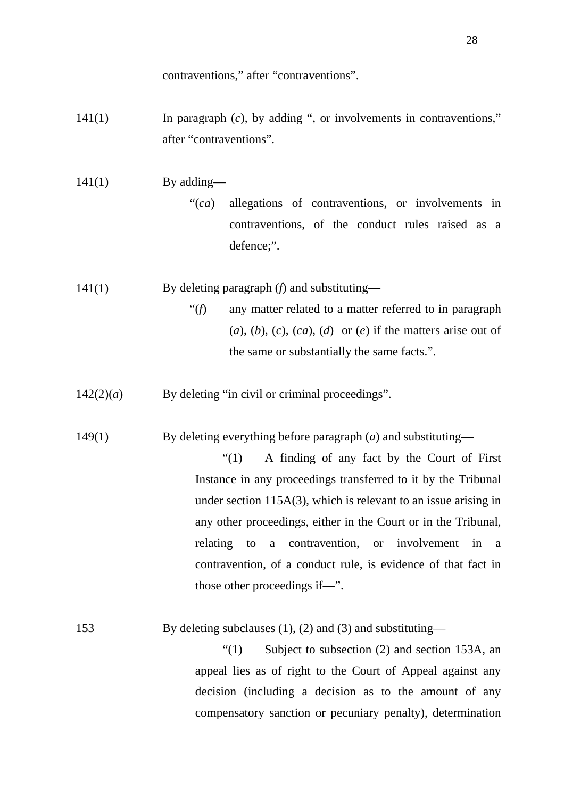contraventions," after "contraventions".

- 141(1) In paragraph (*c*), by adding ", or involvements in contraventions," after "contraventions".
- $141(1)$  By adding—
	- "(*ca*) allegations of contraventions, or involvements in contraventions, of the conduct rules raised as a defence;".
- 141(1) By deleting paragraph (*f*) and substituting—
	- "(*f*) any matter related to a matter referred to in paragraph  $(a)$ ,  $(b)$ ,  $(c)$ ,  $(ca)$ ,  $(d)$  or  $(e)$  if the matters arise out of the same or substantially the same facts.".
- $142(2)(a)$  By deleting "in civil or criminal proceedings".

149(1) By deleting everything before paragraph (*a*) and substituting—

"(1) A finding of any fact by the Court of First Instance in any proceedings transferred to it by the Tribunal under section 115A(3), which is relevant to an issue arising in any other proceedings, either in the Court or in the Tribunal, relating to a contravention, or involvement in a contravention, of a conduct rule, is evidence of that fact in those other proceedings if—".

| 153 | By deleting subclauses $(1)$ , $(2)$ and $(3)$ and substituting— |  |
|-----|------------------------------------------------------------------|--|
|     |                                                                  |  |

"(1) Subject to subsection (2) and section 153A, an appeal lies as of right to the Court of Appeal against any decision (including a decision as to the amount of any compensatory sanction or pecuniary penalty), determination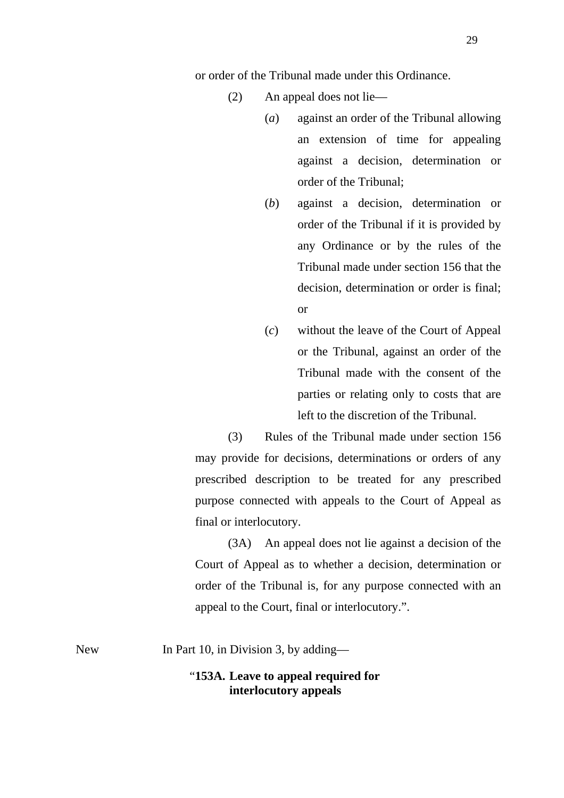or order of the Tribunal made under this Ordinance.

- (2) An appeal does not lie—
	- (*a*) against an order of the Tribunal allowing an extension of time for appealing against a decision, determination or order of the Tribunal;
	- (*b*) against a decision, determination or order of the Tribunal if it is provided by any Ordinance or by the rules of the Tribunal made under section 156 that the decision, determination or order is final; or
	- (*c*) without the leave of the Court of Appeal or the Tribunal, against an order of the Tribunal made with the consent of the parties or relating only to costs that are left to the discretion of the Tribunal.

(3) Rules of the Tribunal made under section 156 may provide for decisions, determinations or orders of any prescribed description to be treated for any prescribed purpose connected with appeals to the Court of Appeal as final or interlocutory.

(3A) An appeal does not lie against a decision of the Court of Appeal as to whether a decision, determination or order of the Tribunal is, for any purpose connected with an appeal to the Court, final or interlocutory.".

New In Part 10, in Division 3, by adding—

### "**153A. Leave to appeal required for interlocutory appeals**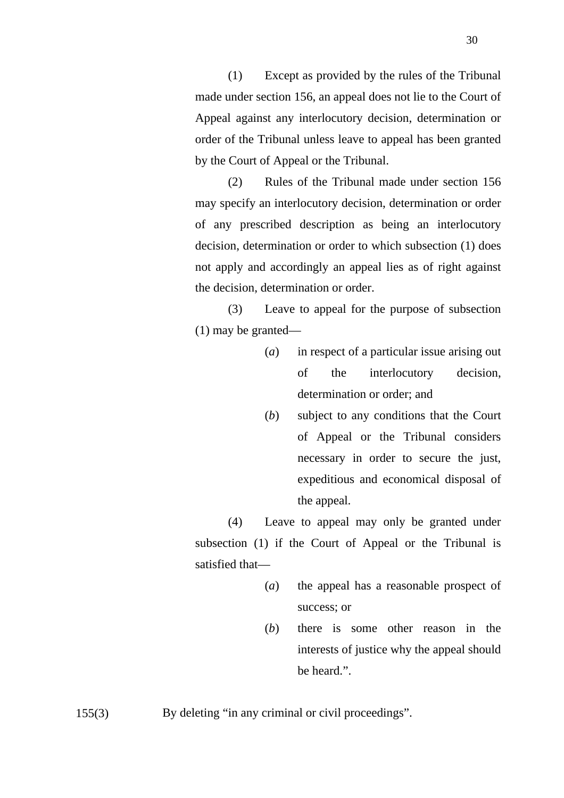(1) Except as provided by the rules of the Tribunal made under section 156, an appeal does not lie to the Court of Appeal against any interlocutory decision, determination or order of the Tribunal unless leave to appeal has been granted by the Court of Appeal or the Tribunal.

(2) Rules of the Tribunal made under section 156 may specify an interlocutory decision, determination or order of any prescribed description as being an interlocutory decision, determination or order to which subsection (1) does not apply and accordingly an appeal lies as of right against the decision, determination or order.

(3) Leave to appeal for the purpose of subsection (1) may be granted—

- (*a*) in respect of a particular issue arising out of the interlocutory decision, determination or order; and
- (*b*) subject to any conditions that the Court of Appeal or the Tribunal considers necessary in order to secure the just, expeditious and economical disposal of the appeal.

(4) Leave to appeal may only be granted under subsection (1) if the Court of Appeal or the Tribunal is satisfied that—

- (*a*) the appeal has a reasonable prospect of success; or
- (*b*) there is some other reason in the interests of justice why the appeal should be heard."

155(3) By deleting "in any criminal or civil proceedings".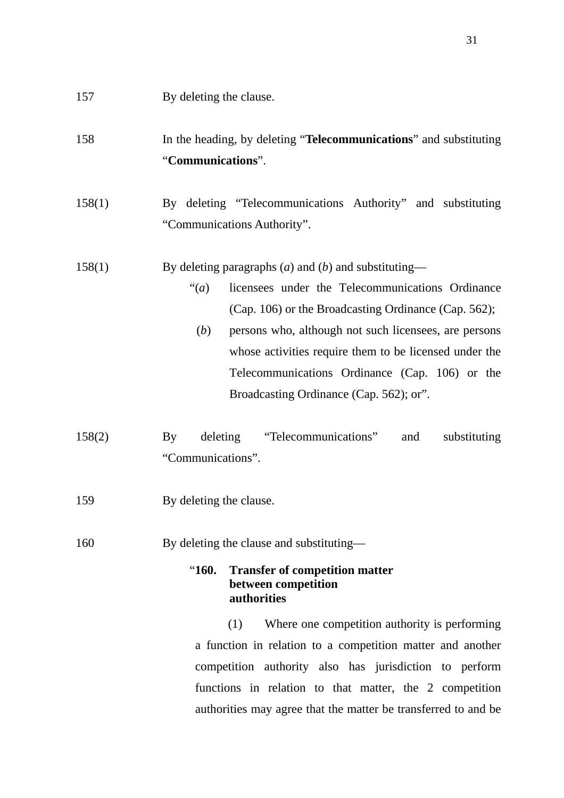# 158 In the heading, by deleting "**Telecommunications**" and substituting "**Communications**".

158(1) By deleting "Telecommunications Authority" and substituting "Communications Authority".

## 158(1) By deleting paragraphs (*a*) and (*b*) and substituting—

- "(*a*) licensees under the Telecommunications Ordinance (Cap. 106) or the Broadcasting Ordinance (Cap. 562);
	- (*b*) persons who, although not such licensees, are persons whose activities require them to be licensed under the Telecommunications Ordinance (Cap. 106) or the Broadcasting Ordinance (Cap. 562); or".
- 158(2) By deleting "Telecommunications" and substituting "Communications".
- 159 By deleting the clause.
- 160 By deleting the clause and substituting—

## "**160. Transfer of competition matter between competition authorities**

(1) Where one competition authority is performing a function in relation to a competition matter and another competition authority also has jurisdiction to perform functions in relation to that matter, the 2 competition authorities may agree that the matter be transferred to and be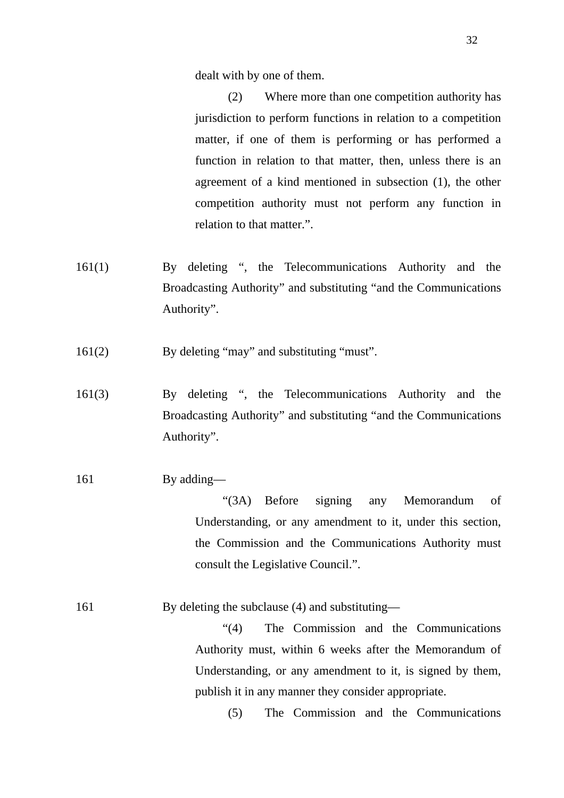dealt with by one of them.

(2) Where more than one competition authority has jurisdiction to perform functions in relation to a competition matter, if one of them is performing or has performed a function in relation to that matter, then, unless there is an agreement of a kind mentioned in subsection (1), the other competition authority must not perform any function in relation to that matter.".

- 161(1) By deleting ", the Telecommunications Authority and the Broadcasting Authority" and substituting "and the Communications Authority".
- 161(2) By deleting "may" and substituting "must".
- 161(3) By deleting ", the Telecommunications Authority and the Broadcasting Authority" and substituting "and the Communications Authority".
- 161 By adding—

"(3A) Before signing any Memorandum of Understanding, or any amendment to it, under this section, the Commission and the Communications Authority must consult the Legislative Council.".

161 By deleting the subclause (4) and substituting—

"(4) The Commission and the Communications Authority must, within 6 weeks after the Memorandum of Understanding, or any amendment to it, is signed by them, publish it in any manner they consider appropriate.

(5) The Commission and the Communications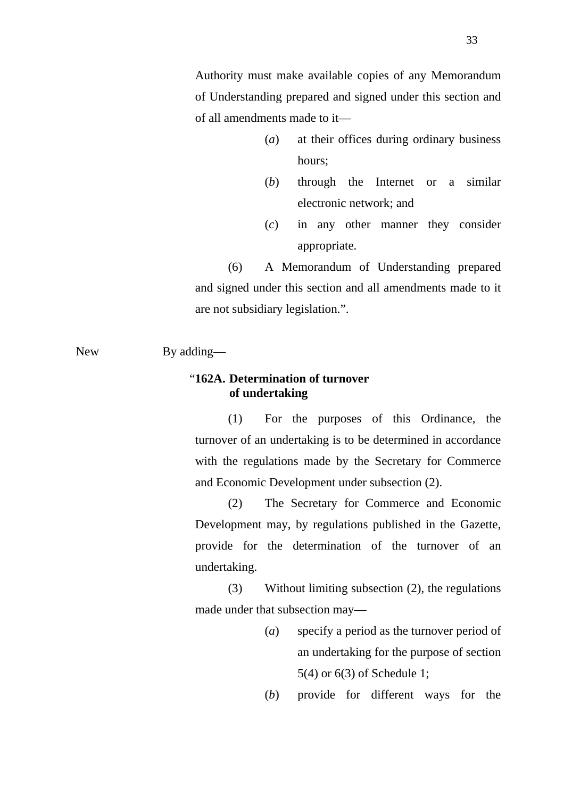Authority must make available copies of any Memorandum of Understanding prepared and signed under this section and of all amendments made to it—

- (*a*) at their offices during ordinary business hours;
- (*b*) through the Internet or a similar electronic network; and
- (*c*) in any other manner they consider appropriate.

(6) A Memorandum of Understanding prepared and signed under this section and all amendments made to it are not subsidiary legislation.".

### New By adding—

## "**162A. Determination of turnover of undertaking**

(1) For the purposes of this Ordinance, the turnover of an undertaking is to be determined in accordance with the regulations made by the Secretary for Commerce and Economic Development under subsection (2).

(2) The Secretary for Commerce and Economic Development may, by regulations published in the Gazette, provide for the determination of the turnover of an undertaking.

(3) Without limiting subsection (2), the regulations made under that subsection may—

> (*a*) specify a period as the turnover period of an undertaking for the purpose of section 5(4) or 6(3) of Schedule 1;

> (*b*) provide for different ways for the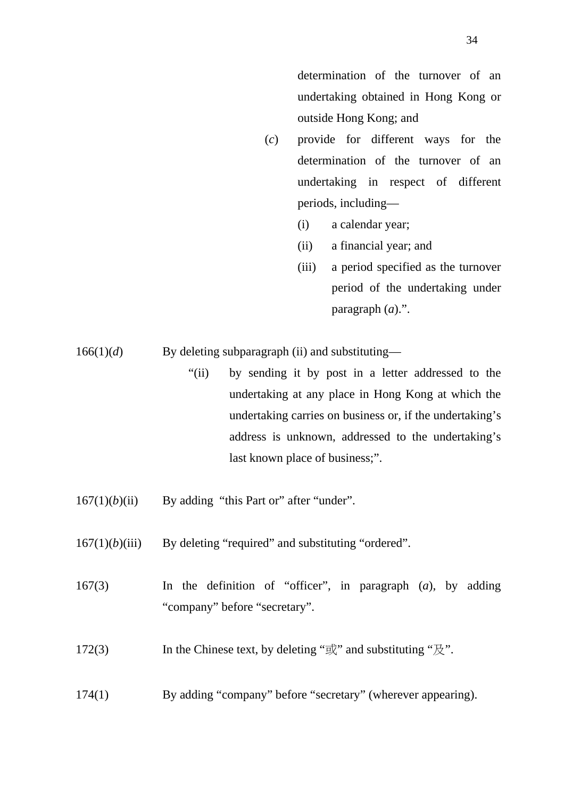determination of the turnover of an undertaking obtained in Hong Kong or outside Hong Kong; and

- (*c*) provide for different ways for the determination of the turnover of an undertaking in respect of different periods, including—
	- (i) a calendar year;
	- (ii) a financial year; and
	- (iii) a period specified as the turnover period of the undertaking under paragraph (*a*).".

166(1)(*d*) By deleting subparagraph (ii) and substituting—

- "(ii) by sending it by post in a letter addressed to the undertaking at any place in Hong Kong at which the undertaking carries on business or, if the undertaking's address is unknown, addressed to the undertaking's last known place of business;".
- $167(1)(b)(ii)$  By adding "this Part or" after "under".
- $167(1)(b)(iii)$  By deleting "required" and substituting "ordered".
- 167(3) In the definition of "officer", in paragraph (*a*), by adding "company" before "secretary".
- 172(3) In the Chinese text, by deleting " $\vec{\mathbb{E}}$ " and substituting " $\vec{\mathbb{E}}$ ".
- 174(1) By adding "company" before "secretary" (wherever appearing).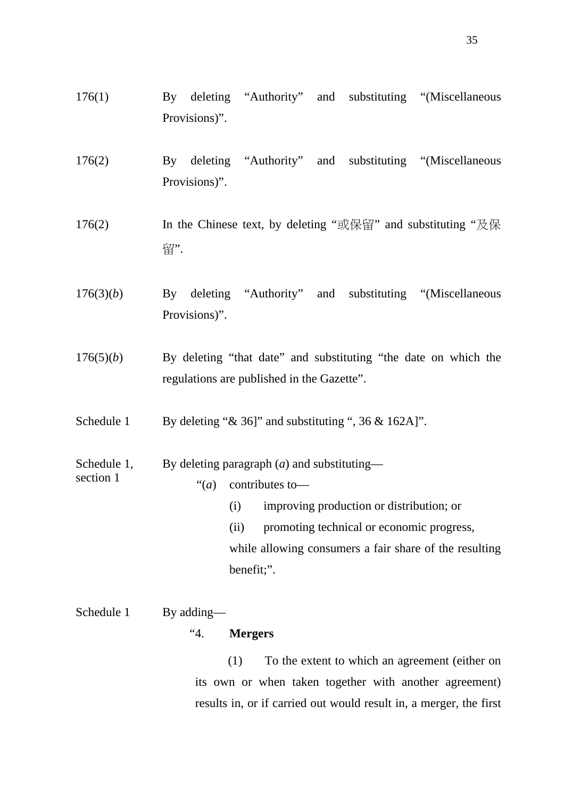- 176(1) By deleting "Authority" and substituting "(Miscellaneous Provisions)".
- 176(2) By deleting "Authority" and substituting "(Miscellaneous Provisions)".
- 176(2) In the Chinese text, by deleting "或保留" and substituting "及保 留".
- 176(3)(*b*) By deleting "Authority" and substituting "(Miscellaneous Provisions)".
- 176(5)(*b*) By deleting "that date" and substituting "the date on which the regulations are published in the Gazette".
- Schedule 1 By deleting "& 36]" and substituting ", 36 & 162A]".
- Schedule 1, By deleting paragraph (*a*) and substituting section 1  $\cdot \cdot \cdot (a)$  contributes to-(i) improving production or distribution; or
	- (ii) promoting technical or economic progress, while allowing consumers a fair share of the resulting benefit;".

# Schedule 1 By adding— "4. **Mergers**

(1) To the extent to which an agreement (either on its own or when taken together with another agreement) results in, or if carried out would result in, a merger, the first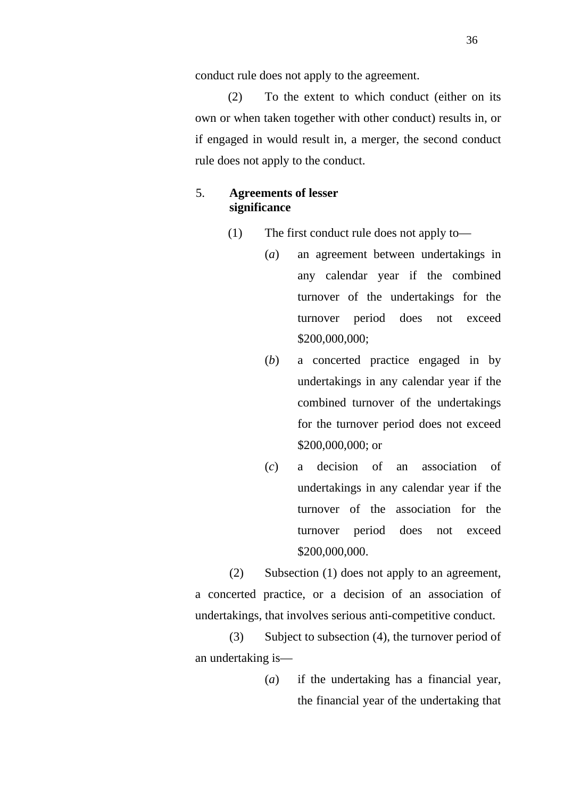conduct rule does not apply to the agreement.

(2) To the extent to which conduct (either on its own or when taken together with other conduct) results in, or if engaged in would result in, a merger, the second conduct rule does not apply to the conduct.

## 5. **Agreements of lesser significance**

- (1) The first conduct rule does not apply to—
	- (*a*) an agreement between undertakings in any calendar year if the combined turnover of the undertakings for the turnover period does not exceed \$200,000,000;
	- (*b*) a concerted practice engaged in by undertakings in any calendar year if the combined turnover of the undertakings for the turnover period does not exceed \$200,000,000; or
	- (*c*) a decision of an association of undertakings in any calendar year if the turnover of the association for the turnover period does not exceed \$200,000,000.

(2) Subsection (1) does not apply to an agreement, a concerted practice, or a decision of an association of undertakings, that involves serious anti-competitive conduct.

(3) Subject to subsection (4), the turnover period of an undertaking is—

> (*a*) if the undertaking has a financial year, the financial year of the undertaking that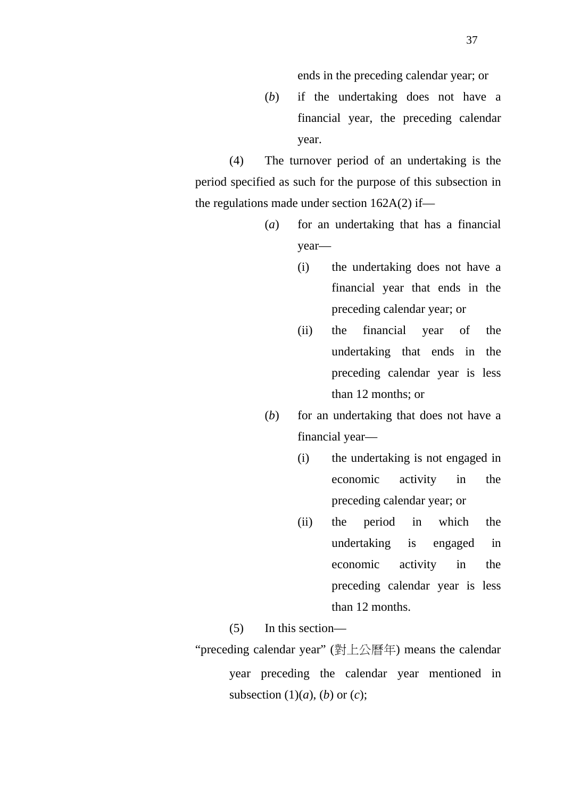ends in the preceding calendar year; or

(*b*) if the undertaking does not have a financial year, the preceding calendar year.

(4) The turnover period of an undertaking is the period specified as such for the purpose of this subsection in the regulations made under section  $162A(2)$  if—

- (*a*) for an undertaking that has a financial year—
	- (i) the undertaking does not have a financial year that ends in the preceding calendar year; or
	- (ii) the financial year of the undertaking that ends in the preceding calendar year is less than 12 months; or
- (*b*) for an undertaking that does not have a financial year—
	- (i) the undertaking is not engaged in economic activity in the preceding calendar year; or
	- (ii) the period in which the undertaking is engaged in economic activity in the preceding calendar year is less than 12 months.

(5) In this section—

"preceding calendar year" (對上公曆年) means the calendar year preceding the calendar year mentioned in subsection  $(1)(a)$ ,  $(b)$  or  $(c)$ ;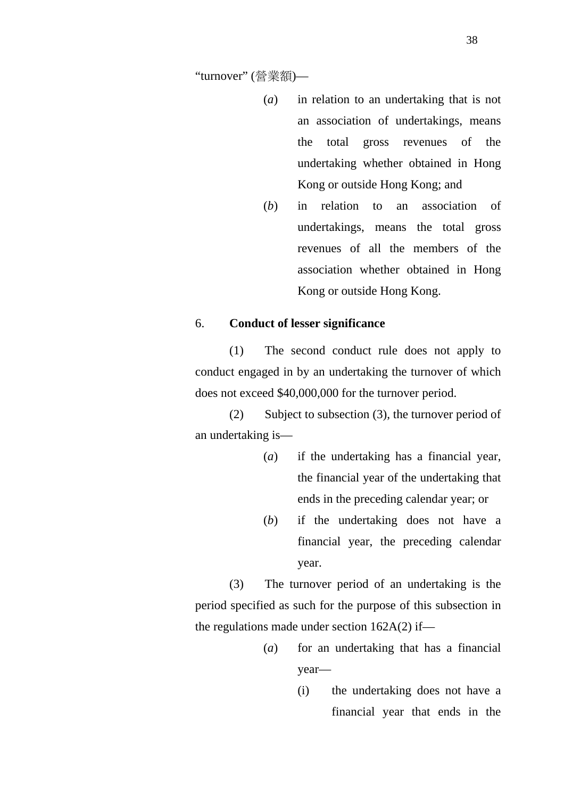"turnover" (營業額)—

- (*a*) in relation to an undertaking that is not an association of undertakings, means the total gross revenues of the undertaking whether obtained in Hong Kong or outside Hong Kong; and
- (*b*) in relation to an association of undertakings, means the total gross revenues of all the members of the association whether obtained in Hong Kong or outside Hong Kong.

#### 6. **Conduct of lesser significance**

(1) The second conduct rule does not apply to conduct engaged in by an undertaking the turnover of which does not exceed \$40,000,000 for the turnover period.

(2) Subject to subsection (3), the turnover period of an undertaking is—

- (*a*) if the undertaking has a financial year, the financial year of the undertaking that ends in the preceding calendar year; or
- (*b*) if the undertaking does not have a financial year, the preceding calendar year.

(3) The turnover period of an undertaking is the period specified as such for the purpose of this subsection in the regulations made under section  $162A(2)$  if—

- (*a*) for an undertaking that has a financial year—
	- (i) the undertaking does not have a financial year that ends in the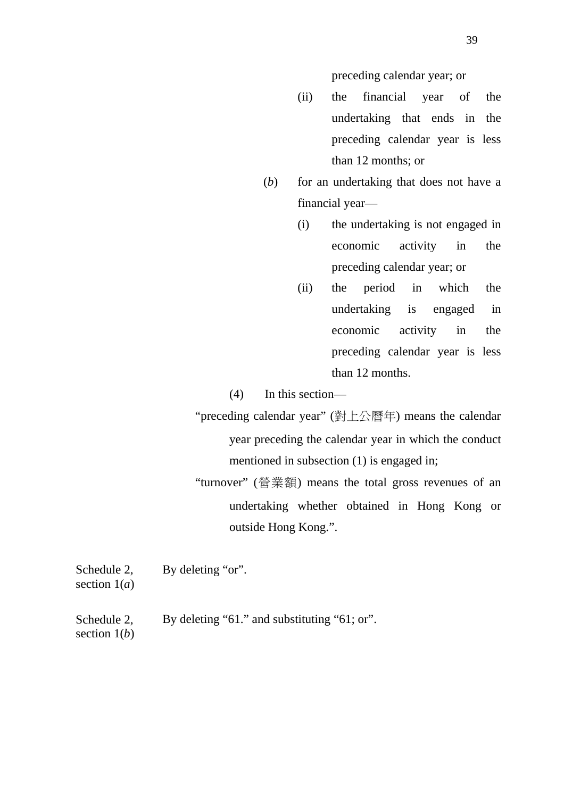preceding calendar year; or

- (ii) the financial year of the undertaking that ends in the preceding calendar year is less than 12 months; or
- (*b*) for an undertaking that does not have a financial year—
	- (i) the undertaking is not engaged in economic activity in the preceding calendar year; or
	- (ii) the period in which the undertaking is engaged in economic activity in the preceding calendar year is less than 12 months.
- (4) In this section—
- "preceding calendar year" (對上公曆年) means the calendar year preceding the calendar year in which the conduct mentioned in subsection (1) is engaged in;
- "turnover" (營業額) means the total gross revenues of an undertaking whether obtained in Hong Kong or outside Hong Kong.".

Schedule 2, By deleting "or".

section 1(*a*)

Schedule 2, By deleting "61." and substituting "61; or".

section 1(*b*)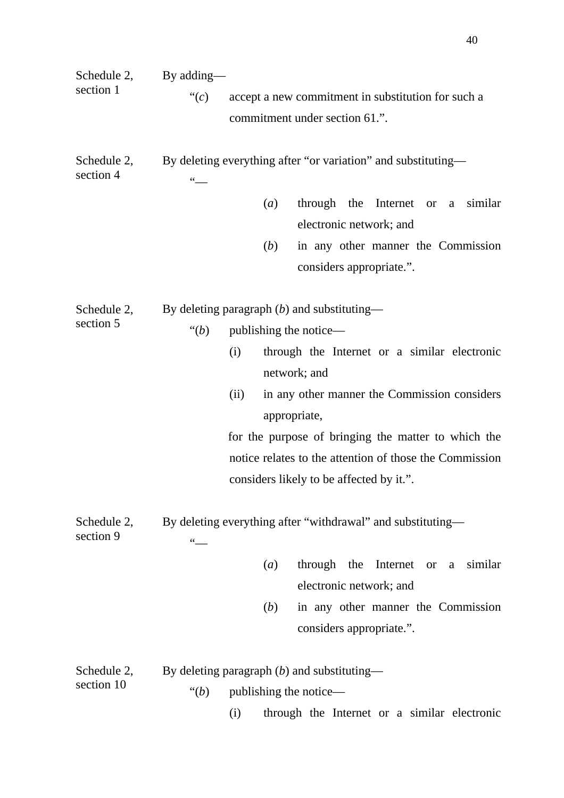| Schedule 2,<br>section 1<br>Schedule 2,<br>section 4 | By adding—<br>accept a new commitment in substitution for such a<br>" $(c)$<br>commitment under section 61.".<br>By deleting everything after "or variation" and substituting—<br>$\epsilon$ $\epsilon$<br>through the Internet or a similar<br>(a)<br>electronic network; and<br>in any other manner the Commission<br>(b)                                                                  |
|------------------------------------------------------|----------------------------------------------------------------------------------------------------------------------------------------------------------------------------------------------------------------------------------------------------------------------------------------------------------------------------------------------------------------------------------------------|
|                                                      | considers appropriate.".                                                                                                                                                                                                                                                                                                                                                                     |
| Schedule 2,<br>section 5                             | By deleting paragraph $(b)$ and substituting—<br>publishing the notice—<br>"(b)<br>through the Internet or a similar electronic<br>(i)<br>network; and<br>in any other manner the Commission considers<br>(ii)<br>appropriate,<br>for the purpose of bringing the matter to which the<br>notice relates to the attention of those the Commission<br>considers likely to be affected by it.". |
| Schedule 2,<br>section 9                             | By deleting everything after "withdrawal" and substituting-<br>$\frac{1}{\sqrt{2}}$<br>Internet or a similar<br>through the<br>(a)<br>electronic network; and                                                                                                                                                                                                                                |
|                                                      | in any other manner the Commission<br>(b)<br>considers appropriate.".                                                                                                                                                                                                                                                                                                                        |
| Schedule 2,<br>section 10                            | By deleting paragraph $(b)$ and substituting—<br>publishing the notice—<br>$\lq(b)$                                                                                                                                                                                                                                                                                                          |

(i) through the Internet or a similar electronic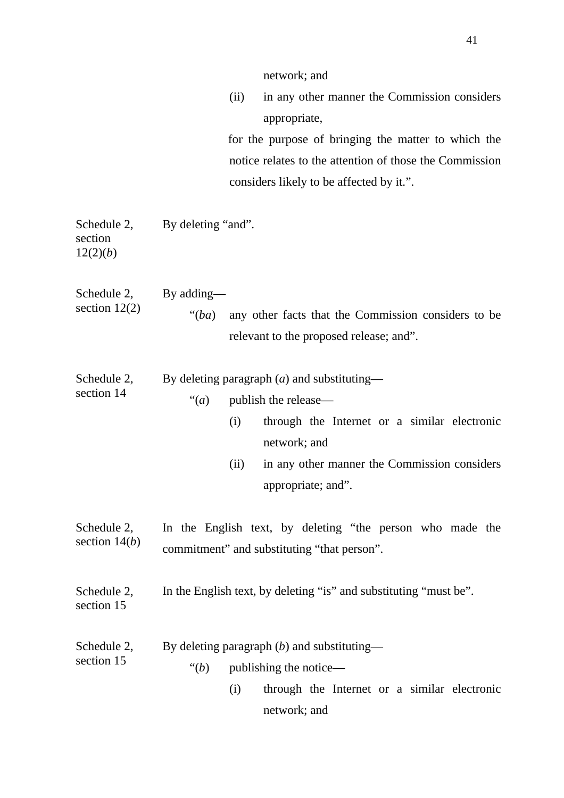|                                | network; and<br>(ii)<br>in any other manner the Commission considers<br>appropriate,<br>for the purpose of bringing the matter to which the<br>notice relates to the attention of those the Commission<br>considers likely to be affected by it.". |
|--------------------------------|----------------------------------------------------------------------------------------------------------------------------------------------------------------------------------------------------------------------------------------------------|
| section<br>12(2)(b)            | Schedule 2, By deleting "and".                                                                                                                                                                                                                     |
| Schedule 2,<br>section $12(2)$ | By adding—<br>any other facts that the Commission considers to be<br>" $(ba)$<br>relevant to the proposed release; and".                                                                                                                           |
| Schedule 2,<br>section 14      | By deleting paragraph $(a)$ and substituting—<br>publish the release-<br>" $(a)$ "<br>(i)<br>through the Internet or a similar electronic<br>network; and<br>in any other manner the Commission considers<br>(ii)<br>appropriate; and".            |
| Schedule 2,<br>section $14(b)$ | In the English text, by deleting "the person who made the<br>commitment" and substituting "that person".                                                                                                                                           |
| Schedule 2,<br>section 15      | In the English text, by deleting "is" and substituting "must be".                                                                                                                                                                                  |
| Schedule 2,<br>section 15      | By deleting paragraph $(b)$ and substituting—<br>"(b)<br>publishing the notice—<br>(i)<br>through the Internet or a similar electronic<br>network; and                                                                                             |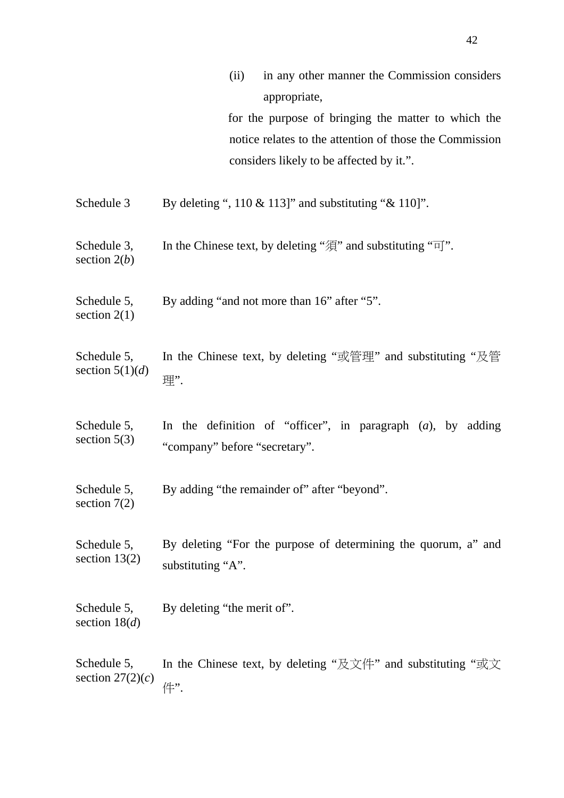|                                   | in any other manner the Commission considers<br>(ii)                                    |  |  |
|-----------------------------------|-----------------------------------------------------------------------------------------|--|--|
|                                   | appropriate,                                                                            |  |  |
|                                   | for the purpose of bringing the matter to which the                                     |  |  |
|                                   | notice relates to the attention of those the Commission                                 |  |  |
|                                   | considers likely to be affected by it.".                                                |  |  |
|                                   |                                                                                         |  |  |
| Schedule 3                        | By deleting ", $110 \& 113$ ]" and substituting " $& 110$ ]".                           |  |  |
|                                   |                                                                                         |  |  |
| Schedule 3,                       | In the Chinese text, by deleting " $\mathcal{F}$ " and substituting " $\overline{q}$ ". |  |  |
| section $2(b)$                    |                                                                                         |  |  |
| Schedule 5,                       | By adding "and not more than 16" after "5".                                             |  |  |
| section $2(1)$                    |                                                                                         |  |  |
|                                   |                                                                                         |  |  |
| Schedule 5,                       | In the Chinese text, by deleting "或管理" and substituting "及管                             |  |  |
| section $5(1)(d)$                 | 理".                                                                                     |  |  |
|                                   |                                                                                         |  |  |
| Schedule 5,<br>section $5(3)$     | In the definition of "officer", in paragraph $(a)$ , by adding                          |  |  |
|                                   | "company" before "secretary".                                                           |  |  |
|                                   |                                                                                         |  |  |
| Schedule 5,<br>section $7(2)$     | By adding "the remainder of" after "beyond".                                            |  |  |
|                                   |                                                                                         |  |  |
| Schedule 5,<br>section $13(2)$    | By deleting "For the purpose of determining the quorum, a" and                          |  |  |
|                                   | substituting "A".                                                                       |  |  |
|                                   |                                                                                         |  |  |
| Schedule 5,<br>section $18(d)$    | By deleting "the merit of".                                                             |  |  |
|                                   |                                                                                         |  |  |
| Schedule 5,<br>section $27(2)(c)$ |                                                                                         |  |  |
|                                   | In the Chinese text, by deleting "及文件" and substituting "或文                             |  |  |
|                                   | 件".                                                                                     |  |  |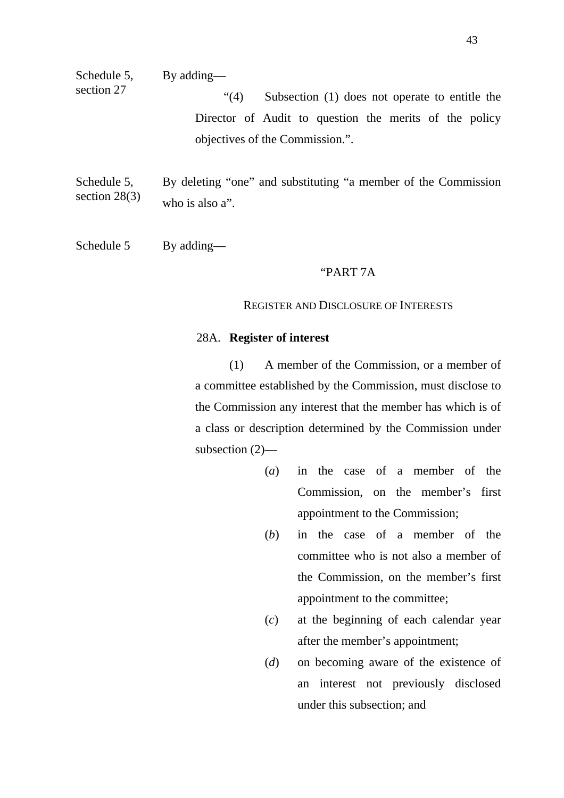section 27 "(4) Subsection (1) does not operate to entitle the Director of Audit to question the merits of the policy objectives of the Commission.".

Schedule 5, section 28(3) By deleting "one" and substituting "a member of the Commission who is also a".

Schedule 5 By adding—

#### "PART 7A

#### REGISTER AND DISCLOSURE OF INTERESTS

#### 28A. **Register of interest**

(1) A member of the Commission, or a member of a committee established by the Commission, must disclose to the Commission any interest that the member has which is of a class or description determined by the Commission under subsection (2)—

- (*a*) in the case of a member of the Commission, on the member's first appointment to the Commission;
- (*b*) in the case of a member of the committee who is not also a member of the Commission, on the member's first appointment to the committee;
- (*c*) at the beginning of each calendar year after the member's appointment;
- (*d*) on becoming aware of the existence of an interest not previously disclosed under this subsection; and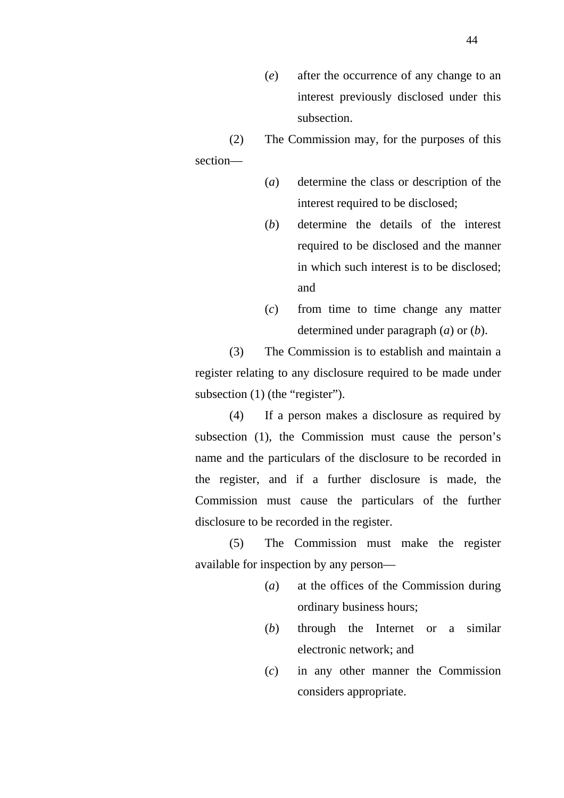- (*e*) after the occurrence of any change to an interest previously disclosed under this subsection.
- (2) The Commission may, for the purposes of this

section—

- (*a*) determine the class or description of the interest required to be disclosed;
- (*b*) determine the details of the interest required to be disclosed and the manner in which such interest is to be disclosed; and
- (*c*) from time to time change any matter determined under paragraph (*a*) or (*b*).

(3) The Commission is to establish and maintain a register relating to any disclosure required to be made under subsection (1) (the "register").

(4) If a person makes a disclosure as required by subsection (1), the Commission must cause the person's name and the particulars of the disclosure to be recorded in the register, and if a further disclosure is made, the Commission must cause the particulars of the further disclosure to be recorded in the register.

(5) The Commission must make the register available for inspection by any person—

- (*a*) at the offices of the Commission during ordinary business hours;
- (*b*) through the Internet or a similar electronic network; and
- (*c*) in any other manner the Commission considers appropriate.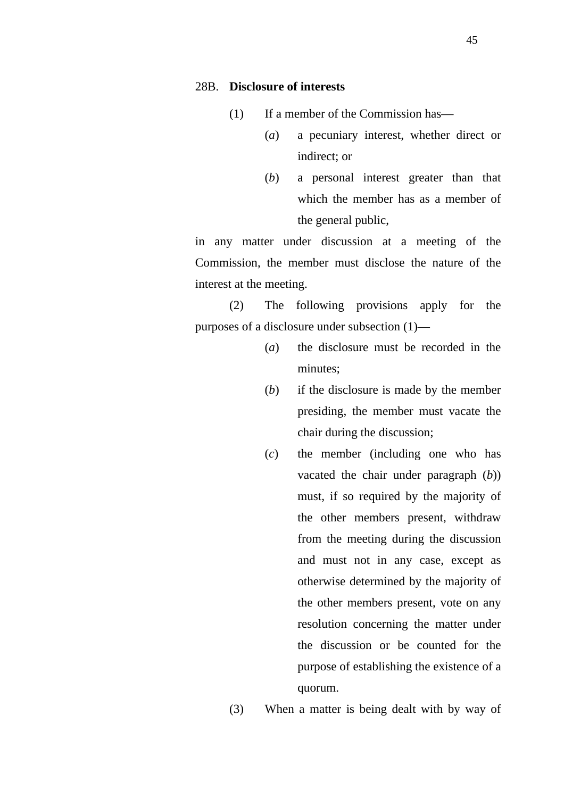- (1) If a member of the Commission has—
	- (*a*) a pecuniary interest, whether direct or indirect; or
	- (*b*) a personal interest greater than that which the member has as a member of the general public,

in any matter under discussion at a meeting of the Commission, the member must disclose the nature of the interest at the meeting.

(2) The following provisions apply for the purposes of a disclosure under subsection (1)—

- (*a*) the disclosure must be recorded in the minutes;
- (*b*) if the disclosure is made by the member presiding, the member must vacate the chair during the discussion;
- (*c*) the member (including one who has vacated the chair under paragraph (*b*)) must, if so required by the majority of the other members present, withdraw from the meeting during the discussion and must not in any case, except as otherwise determined by the majority of the other members present, vote on any resolution concerning the matter under the discussion or be counted for the purpose of establishing the existence of a quorum.
- (3) When a matter is being dealt with by way of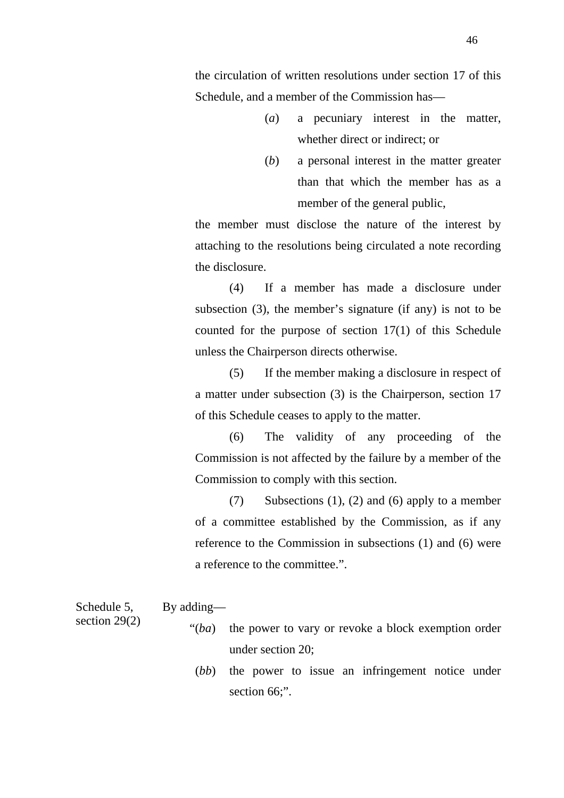46

the circulation of written resolutions under section 17 of this Schedule, and a member of the Commission has—

- (*a*) a pecuniary interest in the matter, whether direct or indirect; or
- (*b*) a personal interest in the matter greater than that which the member has as a member of the general public,

the member must disclose the nature of the interest by attaching to the resolutions being circulated a note recording the disclosure.

(4) If a member has made a disclosure under subsection (3), the member's signature (if any) is not to be counted for the purpose of section 17(1) of this Schedule unless the Chairperson directs otherwise.

(5) If the member making a disclosure in respect of a matter under subsection (3) is the Chairperson, section 17 of this Schedule ceases to apply to the matter.

(6) The validity of any proceeding of the Commission is not affected by the failure by a member of the Commission to comply with this section.

(7) Subsections (1), (2) and (6) apply to a member of a committee established by the Commission, as if any reference to the Commission in subsections (1) and (6) were a reference to the committee.".

Schedule 5, By adding—

section 29(2)

- "(*ba*) the power to vary or revoke a block exemption order under section 20;
	- (*bb*) the power to issue an infringement notice under section 66;".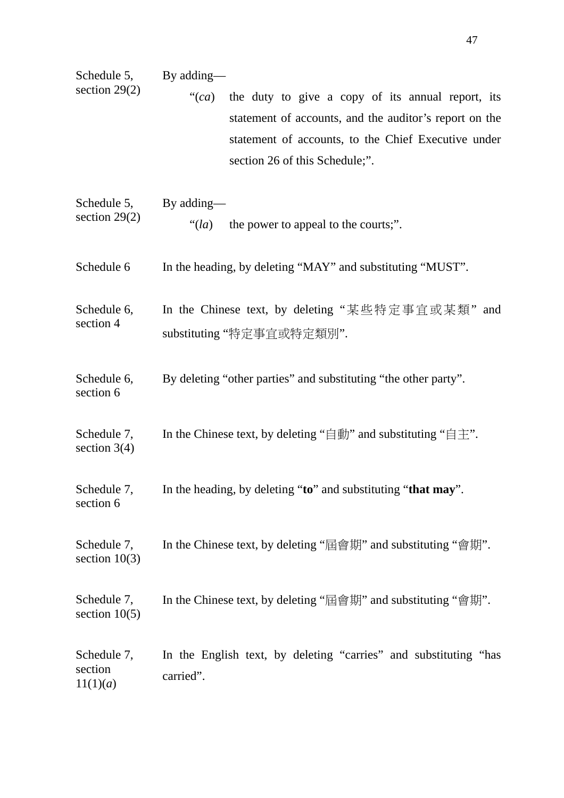| Schedule 5,<br>section $29(2)$     | By adding—<br>the duty to give a copy of its annual report, its<br>" $(ca)$<br>statement of accounts, and the auditor's report on the<br>statement of accounts, to the Chief Executive under<br>section 26 of this Schedule;". |
|------------------------------------|--------------------------------------------------------------------------------------------------------------------------------------------------------------------------------------------------------------------------------|
| Schedule 5,<br>section $29(2)$     | By adding—<br>the power to appeal to the courts;".<br>"(la)                                                                                                                                                                    |
| Schedule 6                         | In the heading, by deleting "MAY" and substituting "MUST".                                                                                                                                                                     |
| Schedule 6,<br>section 4           | In the Chinese text, by deleting "某些特定事宜或某類" and<br>substituting "特定事宜或特定類別".                                                                                                                                                  |
| Schedule 6,<br>section 6           | By deleting "other parties" and substituting "the other party".                                                                                                                                                                |
| Schedule 7,<br>section $3(4)$      | In the Chinese text, by deleting " $\equiv$ $\equiv$ $\equiv$ $\cdots$ and substituting " $\equiv$ $\pm$ ".                                                                                                                    |
| Schedule 7,<br>section 6           | In the heading, by deleting "to" and substituting "that may".                                                                                                                                                                  |
| Schedule 7,<br>section $10(3)$     | In the Chinese text, by deleting "屆會期" and substituting "會期".                                                                                                                                                                  |
| Schedule 7,<br>section $10(5)$     | In the Chinese text, by deleting "屆會期" and substituting "會期".                                                                                                                                                                  |
| Schedule 7,<br>section<br>11(1)(a) | In the English text, by deleting "carries" and substituting "has<br>carried".                                                                                                                                                  |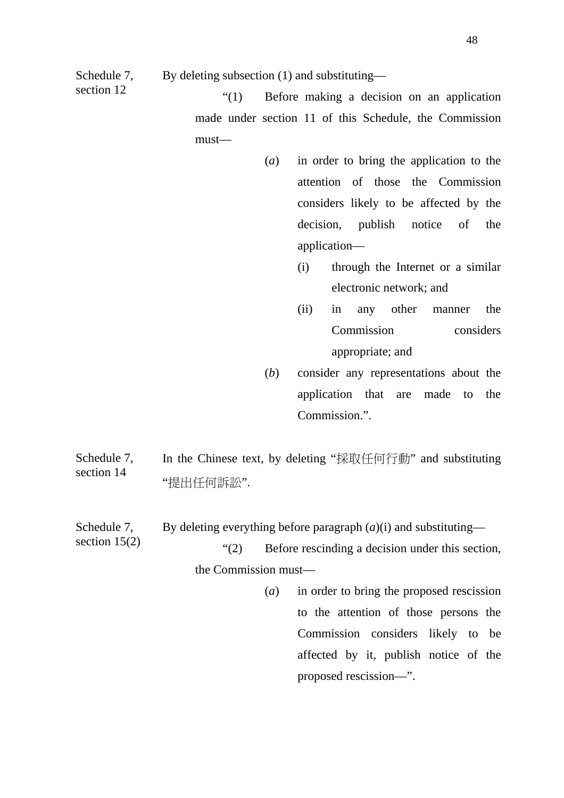Schedule 7, By deleting subsection (1) and substituting—

section 15(2)

section 12  $(1)$  Before making a decision on an application made under section 11 of this Schedule, the Commission must—

- (*a*) in order to bring the application to the attention of those the Commission considers likely to be affected by the decision, publish notice of the application—
	- (i) through the Internet or a similar electronic network; and
	- (ii) in any other manner the Commission considers appropriate; and
- (*b*) consider any representations about the application that are made to the Commission.".

Schedule 7, section 14 In the Chinese text, by deleting "採取任何行動" and substituting "提出任何訴訟".

Schedule 7, By deleting everything before paragraph  $(a)(i)$  and substituting—

> "(2) Before rescinding a decision under this section, the Commission must—

> > (*a*) in order to bring the proposed rescission to the attention of those persons the Commission considers likely to be affected by it, publish notice of the proposed rescission—".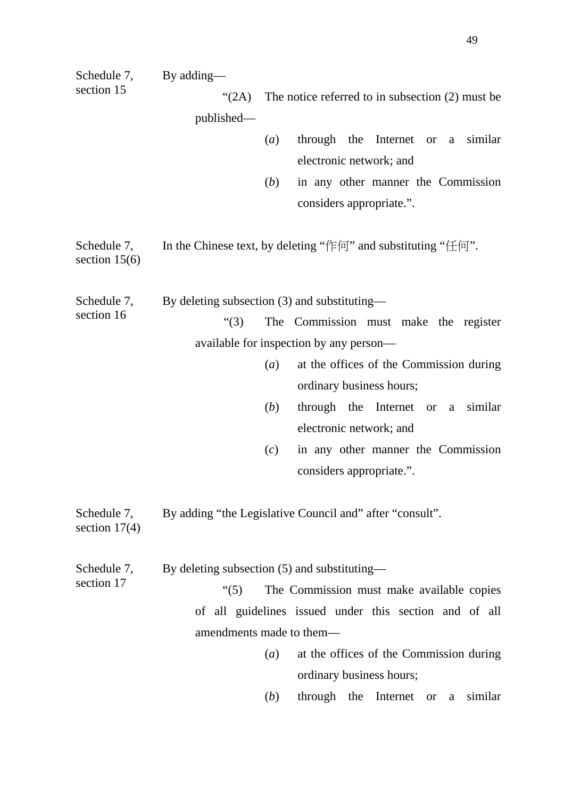| Schedule 7,<br>section 15      | By adding—                                   |              |                                                                                     |  |
|--------------------------------|----------------------------------------------|--------------|-------------------------------------------------------------------------------------|--|
|                                | (2A)                                         |              | The notice referred to in subsection $(2)$ must be                                  |  |
|                                | published—                                   |              |                                                                                     |  |
|                                |                                              | (a)          | through the Internet or a similar                                                   |  |
|                                |                                              |              | electronic network; and                                                             |  |
|                                |                                              | ( <i>b</i> ) | in any other manner the Commission                                                  |  |
|                                |                                              |              | considers appropriate.".                                                            |  |
| Schedule 7,<br>section $15(6)$ |                                              |              | In the Chinese text, by deleting " $\sqrt{\mu}$ " and substituting " $\pm$ $\pi$ ". |  |
| Schedule 7,                    | By deleting subsection (3) and substituting— |              |                                                                                     |  |
| section 16                     | " $(3)$                                      |              | The Commission must make the register                                               |  |
|                                |                                              |              | available for inspection by any person—                                             |  |
|                                |                                              | (a)          | at the offices of the Commission during                                             |  |
|                                |                                              |              | ordinary business hours;                                                            |  |
|                                |                                              | (b)          | through the Internet or a similar                                                   |  |
|                                |                                              |              | electronic network; and                                                             |  |
|                                |                                              | (c)          | in any other manner the Commission                                                  |  |
|                                |                                              |              | considers appropriate.".                                                            |  |
| Schedule 7,<br>section $17(4)$ |                                              |              | By adding "the Legislative Council and" after "consult".                            |  |
| Schedule 7,<br>section 17      | By deleting subsection (5) and substituting— |              |                                                                                     |  |
|                                | $\cdot (5)$                                  |              | The Commission must make available copies                                           |  |
|                                |                                              |              | of all guidelines issued under this section and of all                              |  |
|                                | amendments made to them—                     |              |                                                                                     |  |
|                                |                                              | (a)          | at the offices of the Commission during                                             |  |
|                                |                                              |              | ordinary business hours;                                                            |  |
|                                |                                              | ( <i>b</i> ) | similar<br>through the<br>Internet or a                                             |  |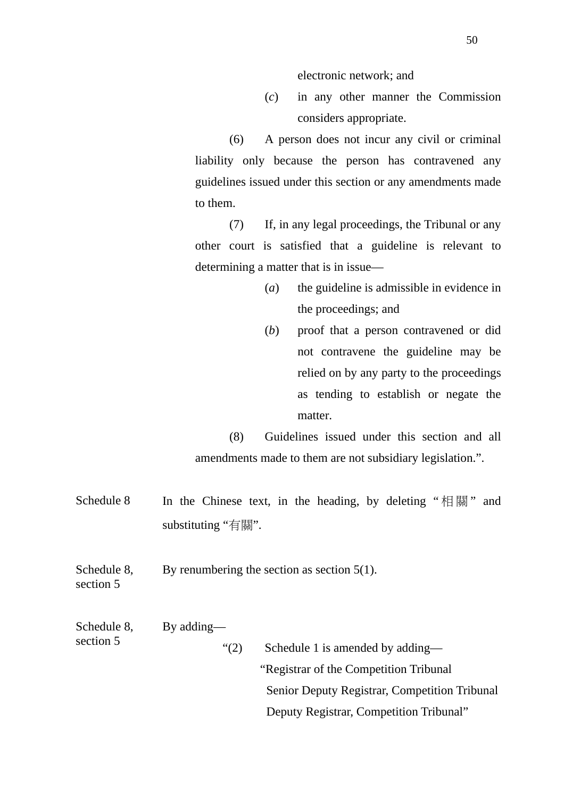electronic network; and

(*c*) in any other manner the Commission considers appropriate.

(6) A person does not incur any civil or criminal liability only because the person has contravened any guidelines issued under this section or any amendments made to them.

(7) If, in any legal proceedings, the Tribunal or any other court is satisfied that a guideline is relevant to determining a matter that is in issue—

- (*a*) the guideline is admissible in evidence in the proceedings; and
- (*b*) proof that a person contravened or did not contravene the guideline may be relied on by any party to the proceedings as tending to establish or negate the matter.

(8) Guidelines issued under this section and all amendments made to them are not subsidiary legislation.".

Schedule 8 In the Chinese text, in the heading, by deleting " $#$  and substituting "有關".

Schedule 8, section 5 By renumbering the section as section 5(1).

| Schedule 8,<br>section 5 | By adding— |                                               |
|--------------------------|------------|-----------------------------------------------|
|                          | (2)        | Schedule 1 is amended by adding—              |
|                          |            | "Registrar of the Competition Tribunal"       |
|                          |            | Senior Deputy Registrar, Competition Tribunal |
|                          |            | Deputy Registrar, Competition Tribunal"       |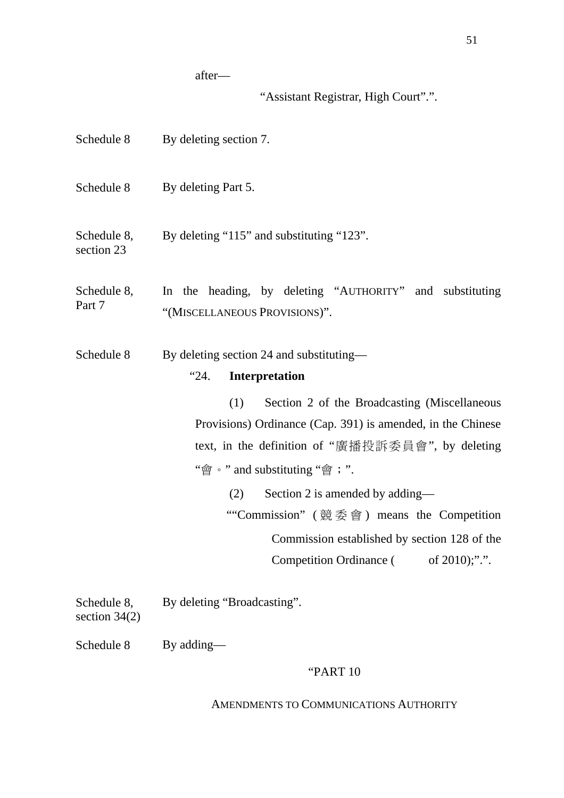after—

"Assistant Registrar, High Court".".

| Schedule 8                     | By deleting section 7.                                                                    |
|--------------------------------|-------------------------------------------------------------------------------------------|
| Schedule 8                     | By deleting Part 5.                                                                       |
| Schedule 8,<br>section 23      | By deleting "115" and substituting "123".                                                 |
| Schedule 8,<br>Part 7          | In the heading, by deleting "AUTHORITY" and substituting<br>"(MISCELLANEOUS PROVISIONS)". |
| Schedule 8                     | By deleting section 24 and substituting—                                                  |
|                                | <b>Interpretation</b><br>"24.                                                             |
|                                | Section 2 of the Broadcasting (Miscellaneous<br>(1)                                       |
|                                | Provisions) Ordinance (Cap. 391) is amended, in the Chinese                               |
|                                | text, in the definition of "廣播投訴委員會", by deleting                                         |
|                                | "會。" and substituting "會; ".                                                              |
|                                | Section 2 is amended by adding—<br>(2)                                                    |
|                                | ""Commission" (競委會) means the Competition                                                 |
|                                | Commission established by section 128 of the                                              |
|                                | <b>Competition Ordinance</b> (<br>of $2010$ ;".".                                         |
| Schedule 8,<br>section $34(2)$ | By deleting "Broadcasting".                                                               |
| Schedule 8                     | By adding—                                                                                |

## "PART 10

## AMENDMENTS TO COMMUNICATIONS AUTHORITY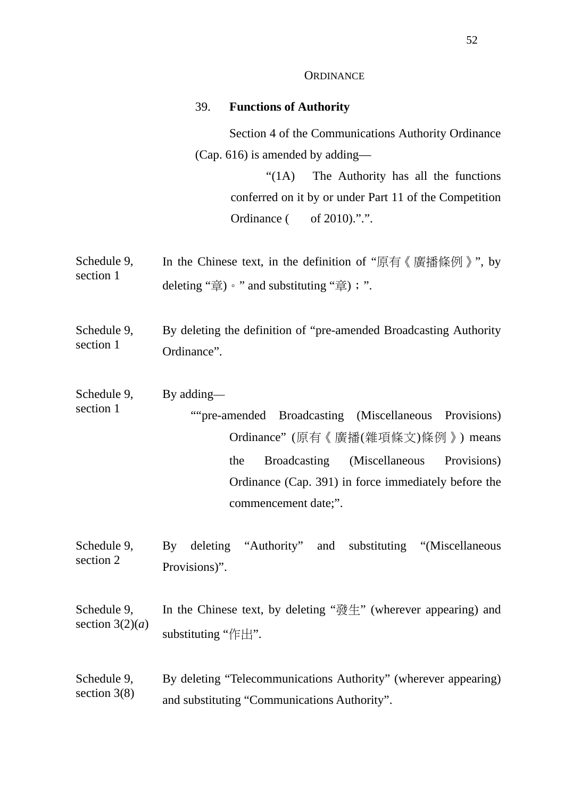#### **ORDINANCE**

#### 39. **Functions of Authority**

Section 4 of the Communications Authority Ordinance (Cap. 616) is amended by adding—

> "(1A) The Authority has all the functions conferred on it by or under Part 11 of the Competition Ordinance ( of 2010).".".

- Schedule 9, section 1 In the Chinese text, in the definition of "原有《廣播條例》", by deleting "章) • " and substituting "章); ".
- Schedule 9, section 1 By deleting the definition of "pre-amended Broadcasting Authority Ordinance".
- Schedule 9, By adding—
- section 1 ""pre-amended Broadcasting (Miscellaneous Provisions) Ordinance" (原有《廣播(雜項條文)條例》) means the Broadcasting (Miscellaneous Provisions) Ordinance (Cap. 391) in force immediately before the commencement date;".
- Schedule 9, section 2 By deleting "Authority" and substituting "(Miscellaneous Provisions)".
- Schedule 9, section  $3(2)(a)$ In the Chinese text, by deleting "發生" (wherever appearing) and substituting "作出".
- Schedule 9, section 3(8) By deleting "Telecommunications Authority" (wherever appearing) and substituting "Communications Authority".